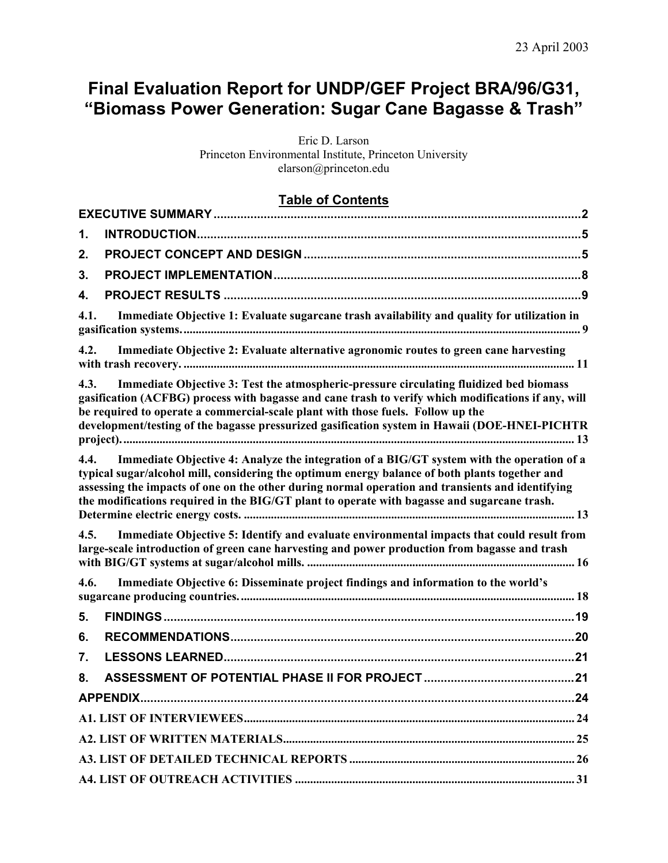# **Final Evaluation Report for UNDP/GEF Project BRA/96/G31, "Biomass Power Generation: Sugar Cane Bagasse & Trash"**

Eric D. Larson Princeton Environmental Institute, Princeton University elarson@princeton.edu

# **Table of Contents**

| 1.                                                                                                                                                                                                                                                                                                                                                                                        |                                                                                             |
|-------------------------------------------------------------------------------------------------------------------------------------------------------------------------------------------------------------------------------------------------------------------------------------------------------------------------------------------------------------------------------------------|---------------------------------------------------------------------------------------------|
| 2.                                                                                                                                                                                                                                                                                                                                                                                        |                                                                                             |
| 3.                                                                                                                                                                                                                                                                                                                                                                                        |                                                                                             |
| 4.                                                                                                                                                                                                                                                                                                                                                                                        |                                                                                             |
| 4.1.                                                                                                                                                                                                                                                                                                                                                                                      | Immediate Objective 1: Evaluate sugarcane trash availability and quality for utilization in |
| Immediate Objective 2: Evaluate alternative agronomic routes to green cane harvesting<br>4.2.                                                                                                                                                                                                                                                                                             |                                                                                             |
| Immediate Objective 3: Test the atmospheric-pressure circulating fluidized bed biomass<br>4.3.<br>gasification (ACFBG) process with bagasse and cane trash to verify which modifications if any, will<br>be required to operate a commercial-scale plant with those fuels. Follow up the<br>development/testing of the bagasse pressurized gasification system in Hawaii (DOE-HNEI-PICHTR |                                                                                             |
| 4.4.<br>typical sugar/alcohol mill, considering the optimum energy balance of both plants together and<br>assessing the impacts of one on the other during normal operation and transients and identifying<br>the modifications required in the BIG/GT plant to operate with bagasse and sugarcane trash.                                                                                 | Immediate Objective 4: Analyze the integration of a BIG/GT system with the operation of a   |
| 4.5.<br>large-scale introduction of green cane harvesting and power production from bagasse and trash                                                                                                                                                                                                                                                                                     | Immediate Objective 5: Identify and evaluate environmental impacts that could result from   |
| Immediate Objective 6: Disseminate project findings and information to the world's<br>4.6.                                                                                                                                                                                                                                                                                                |                                                                                             |
| 5.                                                                                                                                                                                                                                                                                                                                                                                        |                                                                                             |
| 6.                                                                                                                                                                                                                                                                                                                                                                                        |                                                                                             |
| 7.                                                                                                                                                                                                                                                                                                                                                                                        |                                                                                             |
| 8.                                                                                                                                                                                                                                                                                                                                                                                        |                                                                                             |
|                                                                                                                                                                                                                                                                                                                                                                                           | 24                                                                                          |
|                                                                                                                                                                                                                                                                                                                                                                                           |                                                                                             |
|                                                                                                                                                                                                                                                                                                                                                                                           |                                                                                             |
|                                                                                                                                                                                                                                                                                                                                                                                           |                                                                                             |
|                                                                                                                                                                                                                                                                                                                                                                                           |                                                                                             |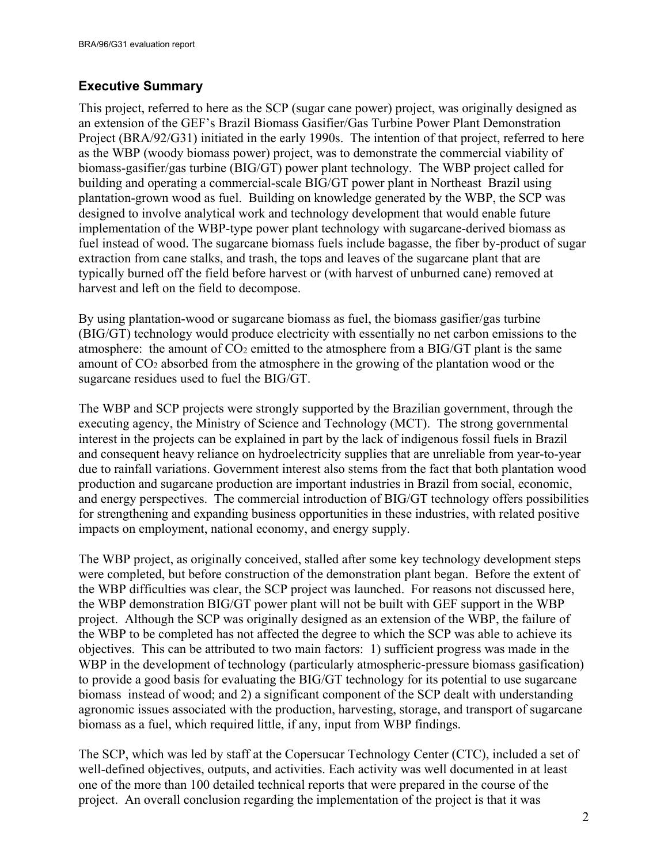## <span id="page-1-0"></span>**Executive Summary**

This project, referred to here as the SCP (sugar cane power) project, was originally designed as an extension of the GEF's Brazil Biomass Gasifier/Gas Turbine Power Plant Demonstration Project (BRA/92/G31) initiated in the early 1990s. The intention of that project, referred to here as the WBP (woody biomass power) project, was to demonstrate the commercial viability of biomass-gasifier/gas turbine (BIG/GT) power plant technology. The WBP project called for building and operating a commercial-scale BIG/GT power plant in Northeast Brazil using plantation-grown wood as fuel. Building on knowledge generated by the WBP, the SCP was designed to involve analytical work and technology development that would enable future implementation of the WBP-type power plant technology with sugarcane-derived biomass as fuel instead of wood. The sugarcane biomass fuels include bagasse, the fiber by-product of sugar extraction from cane stalks, and trash, the tops and leaves of the sugarcane plant that are typically burned off the field before harvest or (with harvest of unburned cane) removed at harvest and left on the field to decompose.

By using plantation-wood or sugarcane biomass as fuel, the biomass gasifier/gas turbine (BIG/GT) technology would produce electricity with essentially no net carbon emissions to the atmosphere: the amount of  $CO<sub>2</sub>$  emitted to the atmosphere from a BIG/GT plant is the same amount of  $CO<sub>2</sub>$  absorbed from the atmosphere in the growing of the plantation wood or the sugarcane residues used to fuel the BIG/GT.

The WBP and SCP projects were strongly supported by the Brazilian government, through the executing agency, the Ministry of Science and Technology (MCT). The strong governmental interest in the projects can be explained in part by the lack of indigenous fossil fuels in Brazil and consequent heavy reliance on hydroelectricity supplies that are unreliable from year-to-year due to rainfall variations. Government interest also stems from the fact that both plantation wood production and sugarcane production are important industries in Brazil from social, economic, and energy perspectives. The commercial introduction of BIG/GT technology offers possibilities for strengthening and expanding business opportunities in these industries, with related positive impacts on employment, national economy, and energy supply.

The WBP project, as originally conceived, stalled after some key technology development steps were completed, but before construction of the demonstration plant began. Before the extent of the WBP difficulties was clear, the SCP project was launched. For reasons not discussed here, the WBP demonstration BIG/GT power plant will not be built with GEF support in the WBP project. Although the SCP was originally designed as an extension of the WBP, the failure of the WBP to be completed has not affected the degree to which the SCP was able to achieve its objectives. This can be attributed to two main factors: 1) sufficient progress was made in the WBP in the development of technology (particularly atmospheric-pressure biomass gasification) to provide a good basis for evaluating the BIG/GT technology for its potential to use sugarcane biomass instead of wood; and 2) a significant component of the SCP dealt with understanding agronomic issues associated with the production, harvesting, storage, and transport of sugarcane biomass as a fuel, which required little, if any, input from WBP findings.

The SCP, which was led by staff at the Copersucar Technology Center (CTC), included a set of well-defined objectives, outputs, and activities. Each activity was well documented in at least one of the more than 100 detailed technical reports that were prepared in the course of the project. An overall conclusion regarding the implementation of the project is that it was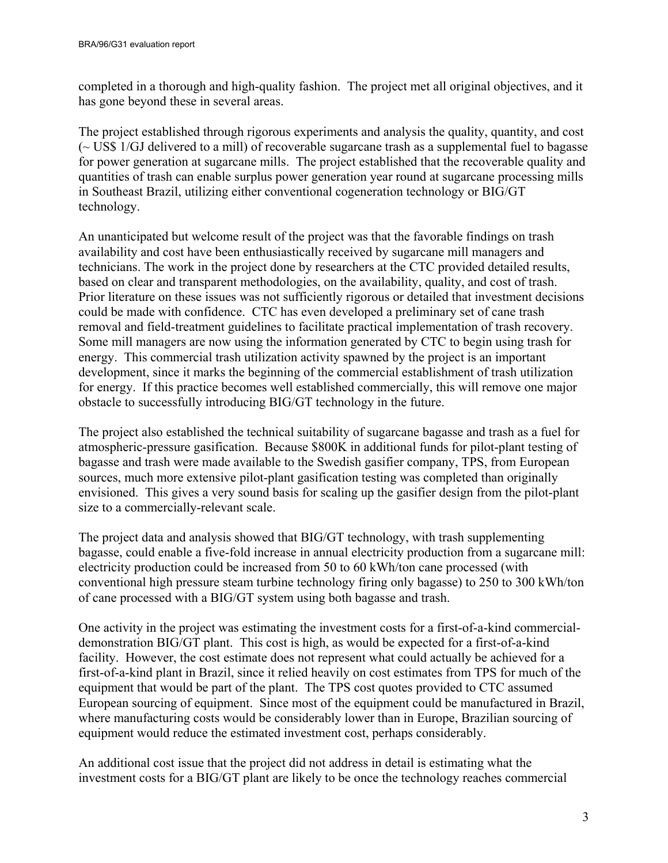completed in a thorough and high-quality fashion. The project met all original objectives, and it has gone beyond these in several areas.

The project established through rigorous experiments and analysis the quality, quantity, and cost (~ US\$ 1/GJ delivered to a mill) of recoverable sugarcane trash as a supplemental fuel to bagasse for power generation at sugarcane mills. The project established that the recoverable quality and quantities of trash can enable surplus power generation year round at sugarcane processing mills in Southeast Brazil, utilizing either conventional cogeneration technology or BIG/GT technology.

An unanticipated but welcome result of the project was that the favorable findings on trash availability and cost have been enthusiastically received by sugarcane mill managers and technicians. The work in the project done by researchers at the CTC provided detailed results, based on clear and transparent methodologies, on the availability, quality, and cost of trash. Prior literature on these issues was not sufficiently rigorous or detailed that investment decisions could be made with confidence. CTC has even developed a preliminary set of cane trash removal and field-treatment guidelines to facilitate practical implementation of trash recovery. Some mill managers are now using the information generated by CTC to begin using trash for energy. This commercial trash utilization activity spawned by the project is an important development, since it marks the beginning of the commercial establishment of trash utilization for energy. If this practice becomes well established commercially, this will remove one major obstacle to successfully introducing BIG/GT technology in the future.

The project also established the technical suitability of sugarcane bagasse and trash as a fuel for atmospheric-pressure gasification. Because \$800K in additional funds for pilot-plant testing of bagasse and trash were made available to the Swedish gasifier company, TPS, from European sources, much more extensive pilot-plant gasification testing was completed than originally envisioned. This gives a very sound basis for scaling up the gasifier design from the pilot-plant size to a commercially-relevant scale.

The project data and analysis showed that BIG/GT technology, with trash supplementing bagasse, could enable a five-fold increase in annual electricity production from a sugarcane mill: electricity production could be increased from 50 to 60 kWh/ton cane processed (with conventional high pressure steam turbine technology firing only bagasse) to 250 to 300 kWh/ton of cane processed with a BIG/GT system using both bagasse and trash.

One activity in the project was estimating the investment costs for a first-of-a-kind commercialdemonstration BIG/GT plant. This cost is high, as would be expected for a first-of-a-kind facility. However, the cost estimate does not represent what could actually be achieved for a first-of-a-kind plant in Brazil, since it relied heavily on cost estimates from TPS for much of the equipment that would be part of the plant. The TPS cost quotes provided to CTC assumed European sourcing of equipment. Since most of the equipment could be manufactured in Brazil, where manufacturing costs would be considerably lower than in Europe, Brazilian sourcing of equipment would reduce the estimated investment cost, perhaps considerably.

An additional cost issue that the project did not address in detail is estimating what the investment costs for a BIG/GT plant are likely to be once the technology reaches commercial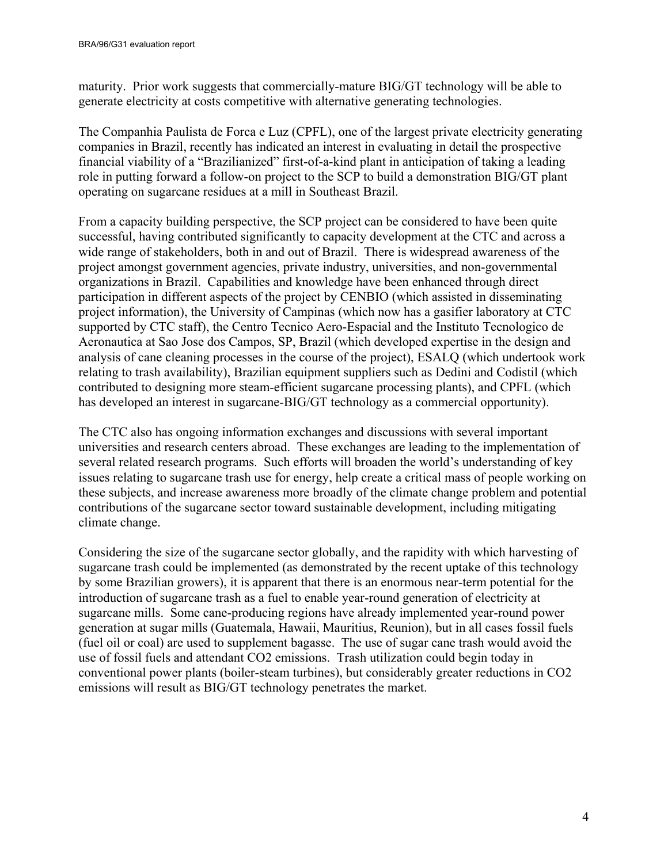maturity. Prior work suggests that commercially-mature BIG/GT technology will be able to generate electricity at costs competitive with alternative generating technologies.

The Companhia Paulista de Forca e Luz (CPFL), one of the largest private electricity generating companies in Brazil, recently has indicated an interest in evaluating in detail the prospective financial viability of a "Brazilianized" first-of-a-kind plant in anticipation of taking a leading role in putting forward a follow-on project to the SCP to build a demonstration BIG/GT plant operating on sugarcane residues at a mill in Southeast Brazil.

From a capacity building perspective, the SCP project can be considered to have been quite successful, having contributed significantly to capacity development at the CTC and across a wide range of stakeholders, both in and out of Brazil. There is widespread awareness of the project amongst government agencies, private industry, universities, and non-governmental organizations in Brazil. Capabilities and knowledge have been enhanced through direct participation in different aspects of the project by CENBIO (which assisted in disseminating project information), the University of Campinas (which now has a gasifier laboratory at CTC supported by CTC staff), the Centro Tecnico Aero-Espacial and the Instituto Tecnologico de Aeronautica at Sao Jose dos Campos, SP, Brazil (which developed expertise in the design and analysis of cane cleaning processes in the course of the project), ESALQ (which undertook work relating to trash availability), Brazilian equipment suppliers such as Dedini and Codistil (which contributed to designing more steam-efficient sugarcane processing plants), and CPFL (which has developed an interest in sugarcane-BIG/GT technology as a commercial opportunity).

The CTC also has ongoing information exchanges and discussions with several important universities and research centers abroad. These exchanges are leading to the implementation of several related research programs. Such efforts will broaden the world's understanding of key issues relating to sugarcane trash use for energy, help create a critical mass of people working on these subjects, and increase awareness more broadly of the climate change problem and potential contributions of the sugarcane sector toward sustainable development, including mitigating climate change.

Considering the size of the sugarcane sector globally, and the rapidity with which harvesting of sugarcane trash could be implemented (as demonstrated by the recent uptake of this technology by some Brazilian growers), it is apparent that there is an enormous near-term potential for the introduction of sugarcane trash as a fuel to enable year-round generation of electricity at sugarcane mills. Some cane-producing regions have already implemented year-round power generation at sugar mills (Guatemala, Hawaii, Mauritius, Reunion), but in all cases fossil fuels (fuel oil or coal) are used to supplement bagasse. The use of sugar cane trash would avoid the use of fossil fuels and attendant CO2 emissions. Trash utilization could begin today in conventional power plants (boiler-steam turbines), but considerably greater reductions in CO2 emissions will result as BIG/GT technology penetrates the market.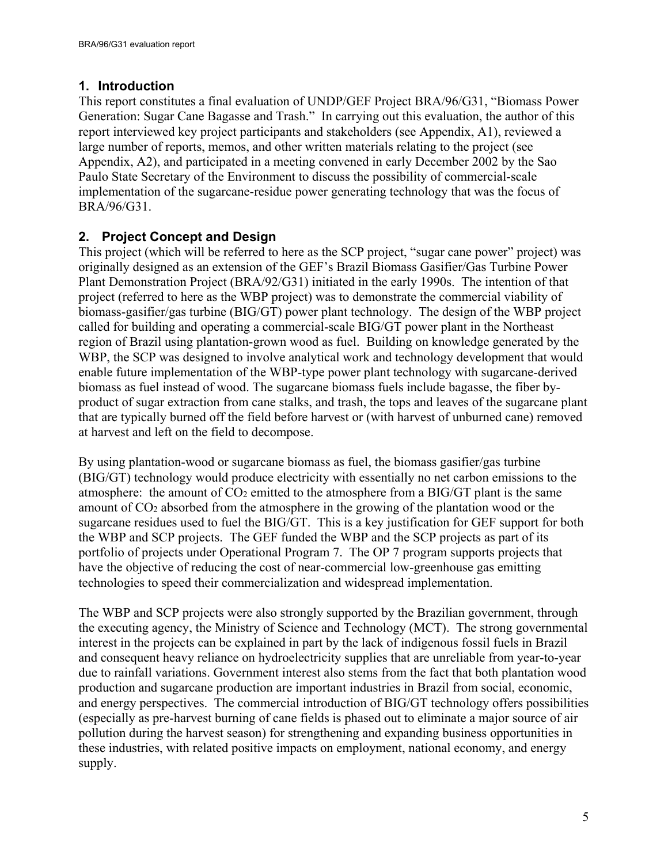## <span id="page-4-0"></span>**1. Introduction**

This report constitutes a final evaluation of UNDP/GEF Project BRA/96/G31, "Biomass Power Generation: Sugar Cane Bagasse and Trash." In carrying out this evaluation, the author of this report interviewed key project participants and stakeholders (see Appendix, A1), reviewed a large number of reports, memos, and other written materials relating to the project (see Appendix, A2), and participated in a meeting convened in early December 2002 by the Sao Paulo State Secretary of the Environment to discuss the possibility of commercial-scale implementation of the sugarcane-residue power generating technology that was the focus of BRA/96/G31.

## <span id="page-4-2"></span><span id="page-4-1"></span>**2. Project Concept and Design**

This project (which will be referred to here as the SCP project, "sugar cane power" project) was originally designed as an extension of the GEF's Brazil Biomass Gasifier/Gas Turbine Power Plant Demonstration Project (BRA/92/G31) initiated in the early 1990s. The intention of that project (referred to here as the WBP project) was to demonstrate the commercial viability of biomass-gasifier/gas turbine (BIG/GT) power plant technology. The design of the WBP project called for building and operating a commercial-scale BIG/GT power plant in the Northeast region of Brazil using plantation-grown wood as fuel. Building on knowledge generated by the WBP, the SCP was designed to involve analytical work and technology development that would enable future implementation of the WBP-type power plant technology with sugarcane-derived biomass as fuel instead of wood. The sugarcane biomass fuels include bagasse, the fiber byproduct of sugar extraction from cane stalks, and trash, the tops and leaves of the sugarcane plant that are typically burned off the field before harvest or (with harvest of unburned cane) removed at harvest and left on the field to decompose.

By using plantation-wood or sugarcane biomass as fuel, the biomass gasifier/gas turbine (BIG/GT) technology would produce electricity with essentially no net carbon emissions to the atmosphere: the amount of  $CO<sub>2</sub>$  emitted to the atmosphere from a BIG/GT plant is the same amount of CO2 absorbed from the atmosphere in the growing of the plantation wood or the sugarcane residues used to fuel the BIG/GT. This is a key justification for GEF support for both the WBP and SCP projects. The GEF funded the WBP and the SCP projects as part of its portfolio of projects under Operational Program 7. The OP 7 program supports projects that have the objective of reducing the cost of near-commercial low-greenhouse gas emitting technologies to speed their commercialization and widespread implementation.

The WBP and SCP projects were also strongly supported by the Brazilian government, through the executing agency, the Ministry of Science and Technology (MCT). The strong governmental interest in the projects can be explained in part by the lack of indigenous fossil fuels in Brazil and consequent heavy reliance on hydroelectricity supplies that are unreliable from year-to-year due to rainfall variations. Government interest also stems from the fact that both plantation wood production and sugarcane production are important industries in Brazil from social, economic, and energy perspectives. The commercial introduction of BIG/GT technology offers possibilities (especially as pre-harvest burning of cane fields is phased out to eliminate a major source of air pollution during the harvest season) for strengthening and expanding business opportunities in these industries, with related positive impacts on employment, national economy, and energy supply.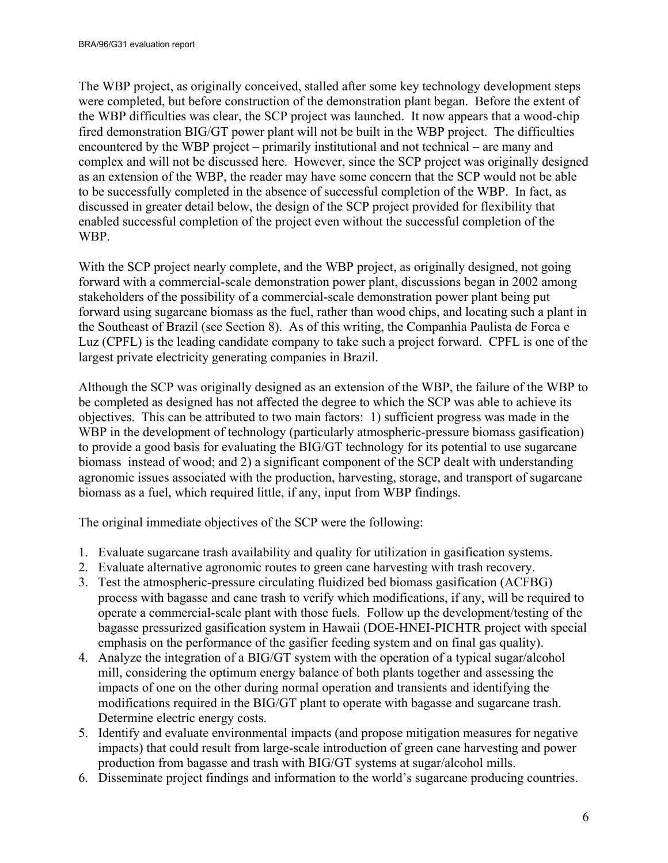The WBP project, as originally conceived, stalled after some key technology development steps were completed, but before construction of the demonstration plant began. Before the extent of the WBP difficulties was clear, the SCP project was launched. It now appears that a wood-chip fired demonstration BIG/GT power plant will not be built in the WBP project. The difficulties encountered by the WBP project – primarily institutional and not technical – are many and complex and will not be discussed here. However, since the SCP project was originally designed as an extension of the WBP, the reader may have some concern that the SCP would not be able to be successfully completed in the absence of successful completion of the WBP. In fact, as discussed in greater detail below, the design of the SCP project provided for flexibility that enabled successful completion of the project even without the successful completion of the WBP.

With the SCP project nearly complete, and the WBP project, as originally designed, not going forward with a commercial-scale demonstration power plant, discussions began in 2002 among stakeholders of the possibility of a commercial-scale demonstration power plant being put forward using sugarcane biomass as the fuel, rather than wood chips, and locating such a plant in the Southeast of Brazil (see Section [8\)](#page-20-1). As of this writing, the Companhia Paulista de Forca e Luz (CPFL) is the leading candidate company to take such a project forward. CPFL is one of the largest private electricity generating companies in Brazil.

Although the SCP was originally designed as an extension of the WBP, the failure of the WBP to be completed as designed has not affected the degree to which the SCP was able to achieve its objectives. This can be attributed to two main factors: 1) sufficient progress was made in the WBP in the development of technology (particularly atmospheric-pressure biomass gasification) to provide a good basis for evaluating the BIG/GT technology for its potential to use sugarcane biomass instead of wood; and 2) a significant component of the SCP dealt with understanding agronomic issues associated with the production, harvesting, storage, and transport of sugarcane biomass as a fuel, which required little, if any, input from WBP findings.

The original immediate objectives of the SCP were the following:

- 1. Evaluate sugarcane trash availability and quality for utilization in gasification systems.
- 2. Evaluate alternative agronomic routes to green cane harvesting with trash recovery.
- 3. Test the atmospheric-pressure circulating fluidized bed biomass gasification (ACFBG) process with bagasse and cane trash to verify which modifications, if any, will be required to operate a commercial-scale plant with those fuels. Follow up the development/testing of the bagasse pressurized gasification system in Hawaii (DOE-HNEI-PICHTR project with special emphasis on the performance of the gasifier feeding system and on final gas quality).
- 4. Analyze the integration of a BIG/GT system with the operation of a typical sugar/alcohol mill, considering the optimum energy balance of both plants together and assessing the impacts of one on the other during normal operation and transients and identifying the modifications required in the BIG/GT plant to operate with bagasse and sugarcane trash. Determine electric energy costs.
- 5. Identify and evaluate environmental impacts (and propose mitigation measures for negative impacts) that could result from large-scale introduction of green cane harvesting and power production from bagasse and trash with BIG/GT systems at sugar/alcohol mills.
- 6. Disseminate project findings and information to the world's sugarcane producing countries.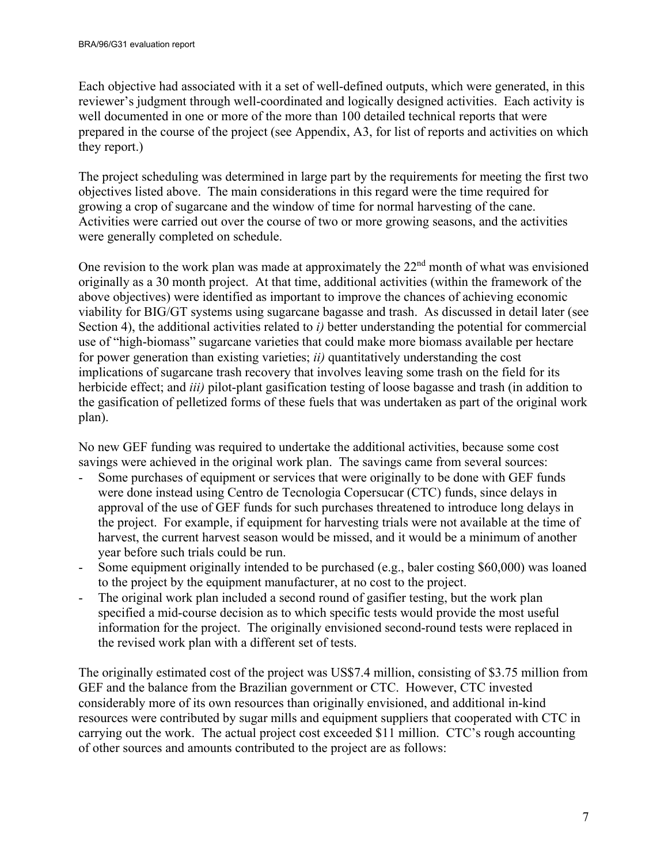Each objective had associated with it a set of well-defined outputs, which were generated, in this reviewer's judgment through well-coordinated and logically designed activities. Each activity is well documented in one or more of the more than 100 detailed technical reports that were prepared in the course of the project (see Appendix, A3, for list of reports and activities on which they report.)

The project scheduling was determined in large part by the requirements for meeting the first two objectives listed above. The main considerations in this regard were the time required for growing a crop of sugarcane and the window of time for normal harvesting of the cane. Activities were carried out over the course of two or more growing seasons, and the activities were generally completed on schedule.

One revision to the work plan was made at approximately the  $22<sup>nd</sup>$  month of what was envisioned originally as a 30 month project. At that time, additional activities (within the framework of the above objectives) were identified as important to improve the chances of achieving economic viability for BIG/GT systems using sugarcane bagasse and trash. As discussed in detail later (see Section [4\)](#page-8-0), the additional activities related to *i)* better understanding the potential for commercial use of "high-biomass" sugarcane varieties that could make more biomass available per hectare for power generation than existing varieties; *ii)* quantitatively understanding the cost implications of sugarcane trash recovery that involves leaving some trash on the field for its herbicide effect; and *iii)* pilot-plant gasification testing of loose bagasse and trash (in addition to the gasification of pelletized forms of these fuels that was undertaken as part of the original work plan).

No new GEF funding was required to undertake the additional activities, because some cost savings were achieved in the original work plan. The savings came from several sources:

- Some purchases of equipment or services that were originally to be done with GEF funds were done instead using Centro de Tecnologia Copersucar (CTC) funds, since delays in approval of the use of GEF funds for such purchases threatened to introduce long delays in the project. For example, if equipment for harvesting trials were not available at the time of harvest, the current harvest season would be missed, and it would be a minimum of another year before such trials could be run.
- Some equipment originally intended to be purchased (e.g., baler costing \$60,000) was loaned to the project by the equipment manufacturer, at no cost to the project.
- The original work plan included a second round of gasifier testing, but the work plan specified a mid-course decision as to which specific tests would provide the most useful information for the project. The originally envisioned second-round tests were replaced in the revised work plan with a different set of tests.

The originally estimated cost of the project was US\$7.4 million, consisting of \$3.75 million from GEF and the balance from the Brazilian government or CTC. However, CTC invested considerably more of its own resources than originally envisioned, and additional in-kind resources were contributed by sugar mills and equipment suppliers that cooperated with CTC in carrying out the work. The actual project cost exceeded \$11 million. CTC's rough accounting of other sources and amounts contributed to the project are as follows: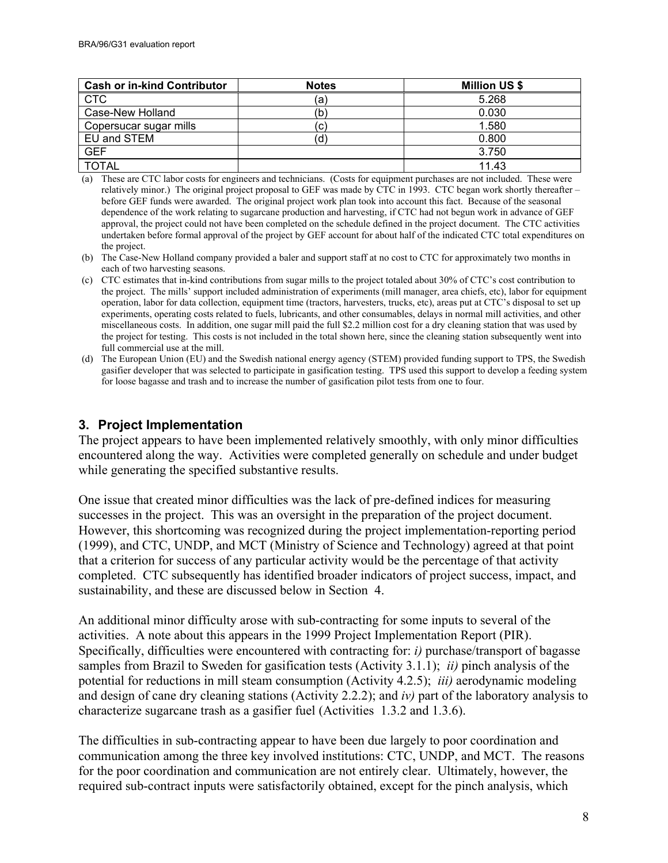| <b>Cash or in-kind Contributor</b> | <b>Notes</b> | <b>Million US \$</b> |
|------------------------------------|--------------|----------------------|
| <b>CTC</b>                         | (a)          | 5.268                |
| Case-New Holland                   | (b)          | 0.030                |
| Copersucar sugar mills             | C.           | 1.580                |
| EU and STEM                        |              | 0.800                |
| <b>GEF</b>                         |              | 3.750                |
| <b>TOTAL</b>                       |              | 11.43                |

(a) These are CTC labor costs for engineers and technicians. (Costs for equipment purchases are not included. These were relatively minor.) The original project proposal to GEF was made by CTC in 1993. CTC began work shortly thereafter – before GEF funds were awarded. The original project work plan took into account this fact. Because of the seasonal dependence of the work relating to sugarcane production and harvesting, if CTC had not begun work in advance of GEF approval, the project could not have been completed on the schedule defined in the project document. The CTC activities undertaken before formal approval of the project by GEF account for about half of the indicated CTC total expenditures on the project.

- (b) The Case-New Holland company provided a baler and support staff at no cost to CTC for approximately two months in each of two harvesting seasons.
- (c) CTC estimates that in-kind contributions from sugar mills to the project totaled about 30% of CTC's cost contribution to the project. The mills' support included administration of experiments (mill manager, area chiefs, etc), labor for equipment operation, labor for data collection, equipment time (tractors, harvesters, trucks, etc), areas put at CTC's disposal to set up experiments, operating costs related to fuels, lubricants, and other consumables, delays in normal mill activities, and other miscellaneous costs. In addition, one sugar mill paid the full \$2.2 million cost for a dry cleaning station that was used by the project for testing. This costs is not included in the total shown here, since the cleaning station subsequently went into full commercial use at the mill.
- (d) The European Union (EU) and the Swedish national energy agency (STEM) provided funding support to TPS, the Swedish gasifier developer that was selected to participate in gasification testing. TPS used this support to develop a feeding system for loose bagasse and trash and to increase the number of gasification pilot tests from one to four.

## <span id="page-7-0"></span>**3. Project Implementation**

The project appears to have been implemented relatively smoothly, with only minor difficulties encountered along the way. Activities were completed generally on schedule and under budget while generating the specified substantive results.

One issue that created minor difficulties was the lack of pre-defined indices for measuring successes in the project. This was an oversight in the preparation of the project document. However, this shortcoming was recognized during the project implementation-reporting period (1999), and CTC, UNDP, and MCT (Ministry of Science and Technology) agreed at that point that a criterion for success of any particular activity would be the percentage of that activity completed. CTC subsequently has identified broader indicators of project success, impact, and sustainability, and these are discussed below in Section [4.](#page-8-0)

An additional minor difficulty arose with sub-contracting for some inputs to several of the activities. A note about this appears in the 1999 Project Implementation Report (PIR). Specifically, difficulties were encountered with contracting for: *i)* purchase/transport of bagasse samples from Brazil to Sweden for gasification tests (Activity 3.1.1); *ii)* pinch analysis of the potential for reductions in mill steam consumption (Activity 4.2.5); *iii)* aerodynamic modeling and design of cane dry cleaning stations (Activity 2.2.2); and *iv)* part of the laboratory analysis to characterize sugarcane trash as a gasifier fuel (Activities 1.3.2 and 1.3.6).

The difficulties in sub-contracting appear to have been due largely to poor coordination and communication among the three key involved institutions: CTC, UNDP, and MCT. The reasons for the poor coordination and communication are not entirely clear. Ultimately, however, the required sub-contract inputs were satisfactorily obtained, except for the pinch analysis, which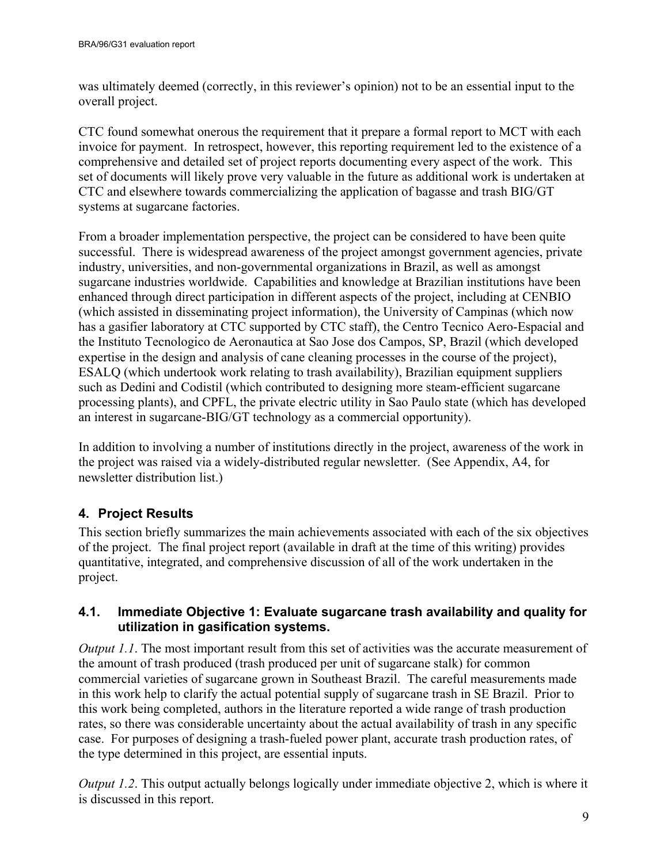was ultimately deemed (correctly, in this reviewer's opinion) not to be an essential input to the overall project.

CTC found somewhat onerous the requirement that it prepare a formal report to MCT with each invoice for payment. In retrospect, however, this reporting requirement led to the existence of a comprehensive and detailed set of project reports documenting every aspect of the work. This set of documents will likely prove very valuable in the future as additional work is undertaken at CTC and elsewhere towards commercializing the application of bagasse and trash BIG/GT systems at sugarcane factories.

From a broader implementation perspective, the project can be considered to have been quite successful. There is widespread awareness of the project amongst government agencies, private industry, universities, and non-governmental organizations in Brazil, as well as amongst sugarcane industries worldwide. Capabilities and knowledge at Brazilian institutions have been enhanced through direct participation in different aspects of the project, including at CENBIO (which assisted in disseminating project information), the University of Campinas (which now has a gasifier laboratory at CTC supported by CTC staff), the Centro Tecnico Aero-Espacial and the Instituto Tecnologico de Aeronautica at Sao Jose dos Campos, SP, Brazil (which developed expertise in the design and analysis of cane cleaning processes in the course of the project), ESALQ (which undertook work relating to trash availability), Brazilian equipment suppliers such as Dedini and Codistil (which contributed to designing more steam-efficient sugarcane processing plants), and CPFL, the private electric utility in Sao Paulo state (which has developed an interest in sugarcane-BIG/GT technology as a commercial opportunity).

In addition to involving a number of institutions directly in the project, awareness of the work in the project was raised via a widely-distributed regular newsletter. (See Appendix, A4, for newsletter distribution list.)

## <span id="page-8-0"></span>**4. Project Results**

This section briefly summarizes the main achievements associated with each of the six objectives of the project. The final project report (available in draft at the time of this writing) provides quantitative, integrated, and comprehensive discussion of all of the work undertaken in the project.

## <span id="page-8-1"></span>**4.1. Immediate Objective 1: Evaluate sugarcane trash availability and quality for utilization in gasification systems.**

*Output 1.1*. The most important result from this set of activities was the accurate measurement of the amount of trash produced (trash produced per unit of sugarcane stalk) for common commercial varieties of sugarcane grown in Southeast Brazil. The careful measurements made in this work help to clarify the actual potential supply of sugarcane trash in SE Brazil. Prior to this work being completed, authors in the literature reported a wide range of trash production rates, so there was considerable uncertainty about the actual availability of trash in any specific case. For purposes of designing a trash-fueled power plant, accurate trash production rates, of the type determined in this project, are essential inputs.

*Output 1.2*. This output actually belongs logically under immediate objective 2, which is where it is discussed in this report.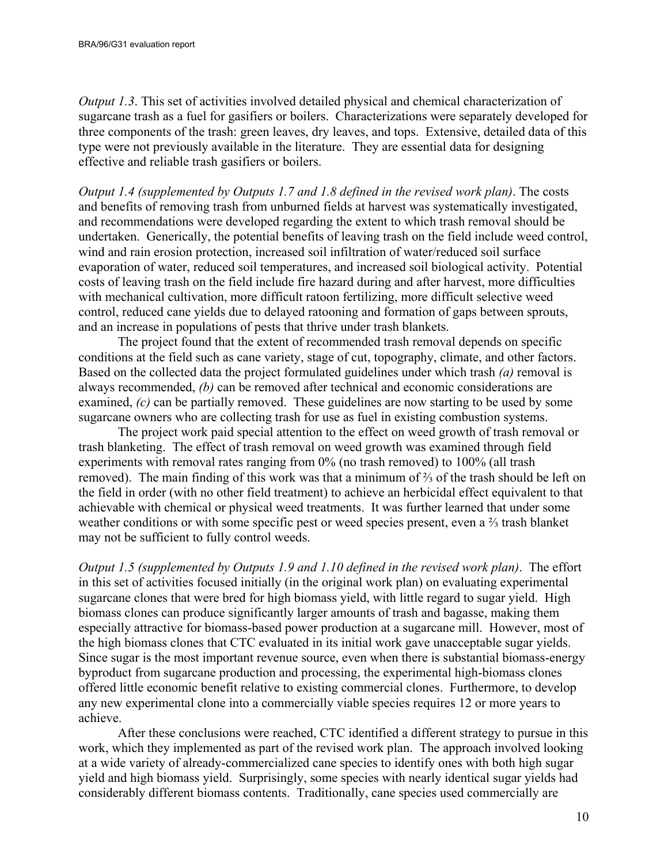*Output 1.3*. This set of activities involved detailed physical and chemical characterization of sugarcane trash as a fuel for gasifiers or boilers. Characterizations were separately developed for three components of the trash: green leaves, dry leaves, and tops. Extensive, detailed data of this type were not previously available in the literature. They are essential data for designing effective and reliable trash gasifiers or boilers.

*Output 1.4 (supplemented by Outputs 1.7 and 1.8 defined in the revised work plan)*. The costs and benefits of removing trash from unburned fields at harvest was systematically investigated, and recommendations were developed regarding the extent to which trash removal should be undertaken. Generically, the potential benefits of leaving trash on the field include weed control, wind and rain erosion protection, increased soil infiltration of water/reduced soil surface evaporation of water, reduced soil temperatures, and increased soil biological activity. Potential costs of leaving trash on the field include fire hazard during and after harvest, more difficulties with mechanical cultivation, more difficult ratoon fertilizing, more difficult selective weed control, reduced cane yields due to delayed ratooning and formation of gaps between sprouts, and an increase in populations of pests that thrive under trash blankets.

The project found that the extent of recommended trash removal depends on specific conditions at the field such as cane variety, stage of cut, topography, climate, and other factors. Based on the collected data the project formulated guidelines under which trash *(a)* removal is always recommended, *(b)* can be removed after technical and economic considerations are examined, *(c)* can be partially removed. These guidelines are now starting to be used by some sugarcane owners who are collecting trash for use as fuel in existing combustion systems.

The project work paid special attention to the effect on weed growth of trash removal or trash blanketing. The effect of trash removal on weed growth was examined through field experiments with removal rates ranging from 0% (no trash removed) to 100% (all trash removed). The main finding of this work was that a minimum of ⅔ of the trash should be left on the field in order (with no other field treatment) to achieve an herbicidal effect equivalent to that achievable with chemical or physical weed treatments. It was further learned that under some weather conditions or with some specific pest or weed species present, even a ⅔ trash blanket may not be sufficient to fully control weeds.

*Output 1.5 (supplemented by Outputs 1.9 and 1.10 defined in the revised work plan)*. The effort in this set of activities focused initially (in the original work plan) on evaluating experimental sugarcane clones that were bred for high biomass yield, with little regard to sugar yield. High biomass clones can produce significantly larger amounts of trash and bagasse, making them especially attractive for biomass-based power production at a sugarcane mill. However, most of the high biomass clones that CTC evaluated in its initial work gave unacceptable sugar yields. Since sugar is the most important revenue source, even when there is substantial biomass-energy byproduct from sugarcane production and processing, the experimental high-biomass clones offered little economic benefit relative to existing commercial clones. Furthermore, to develop any new experimental clone into a commercially viable species requires 12 or more years to achieve.

After these conclusions were reached, CTC identified a different strategy to pursue in this work, which they implemented as part of the revised work plan. The approach involved looking at a wide variety of already-commercialized cane species to identify ones with both high sugar yield and high biomass yield. Surprisingly, some species with nearly identical sugar yields had considerably different biomass contents. Traditionally, cane species used commercially are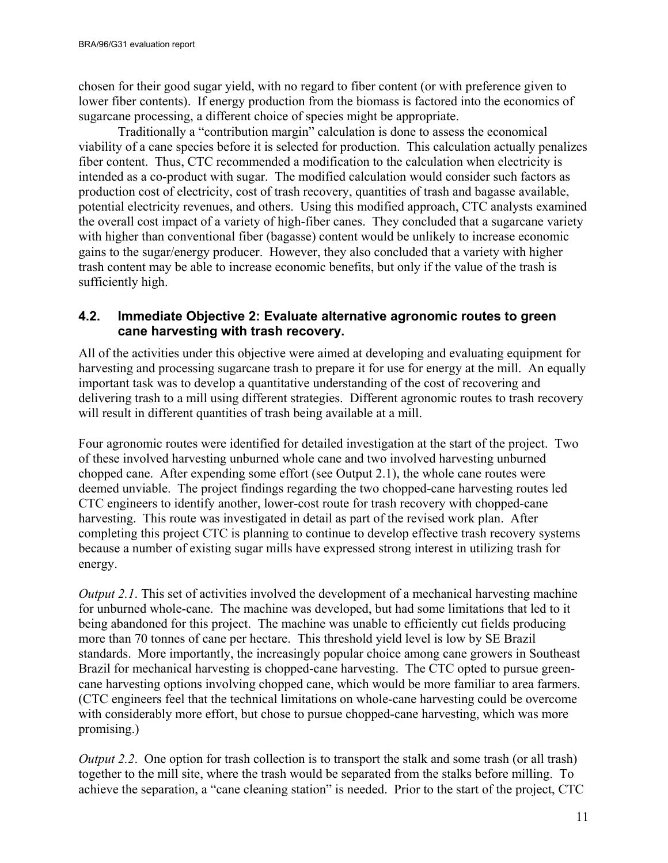chosen for their good sugar yield, with no regard to fiber content (or with preference given to lower fiber contents). If energy production from the biomass is factored into the economics of sugarcane processing, a different choice of species might be appropriate.

Traditionally a "contribution margin" calculation is done to assess the economical viability of a cane species before it is selected for production. This calculation actually penalizes fiber content. Thus, CTC recommended a modification to the calculation when electricity is intended as a co-product with sugar. The modified calculation would consider such factors as production cost of electricity, cost of trash recovery, quantities of trash and bagasse available, potential electricity revenues, and others. Using this modified approach, CTC analysts examined the overall cost impact of a variety of high-fiber canes. They concluded that a sugarcane variety with higher than conventional fiber (bagasse) content would be unlikely to increase economic gains to the sugar/energy producer. However, they also concluded that a variety with higher trash content may be able to increase economic benefits, but only if the value of the trash is sufficiently high.

#### <span id="page-10-0"></span>**4.2. Immediate Objective 2: Evaluate alternative agronomic routes to green cane harvesting with trash recovery.**

All of the activities under this objective were aimed at developing and evaluating equipment for harvesting and processing sugarcane trash to prepare it for use for energy at the mill. An equally important task was to develop a quantitative understanding of the cost of recovering and delivering trash to a mill using different strategies. Different agronomic routes to trash recovery will result in different quantities of trash being available at a mill.

Four agronomic routes were identified for detailed investigation at the start of the project. Two of these involved harvesting unburned whole cane and two involved harvesting unburned chopped cane. After expending some effort (see Output 2.1), the whole cane routes were deemed unviable. The project findings regarding the two chopped-cane harvesting routes led CTC engineers to identify another, lower-cost route for trash recovery with chopped-cane harvesting. This route was investigated in detail as part of the revised work plan. After completing this project CTC is planning to continue to develop effective trash recovery systems because a number of existing sugar mills have expressed strong interest in utilizing trash for energy.

*Output 2.1*. This set of activities involved the development of a mechanical harvesting machine for unburned whole-cane. The machine was developed, but had some limitations that led to it being abandoned for this project. The machine was unable to efficiently cut fields producing more than 70 tonnes of cane per hectare. This threshold yield level is low by SE Brazil standards. More importantly, the increasingly popular choice among cane growers in Southeast Brazil for mechanical harvesting is chopped-cane harvesting. The CTC opted to pursue greencane harvesting options involving chopped cane, which would be more familiar to area farmers. (CTC engineers feel that the technical limitations on whole-cane harvesting could be overcome with considerably more effort, but chose to pursue chopped-cane harvesting, which was more promising.)

*Output 2.2.* One option for trash collection is to transport the stalk and some trash (or all trash) together to the mill site, where the trash would be separated from the stalks before milling. To achieve the separation, a "cane cleaning station" is needed. Prior to the start of the project, CTC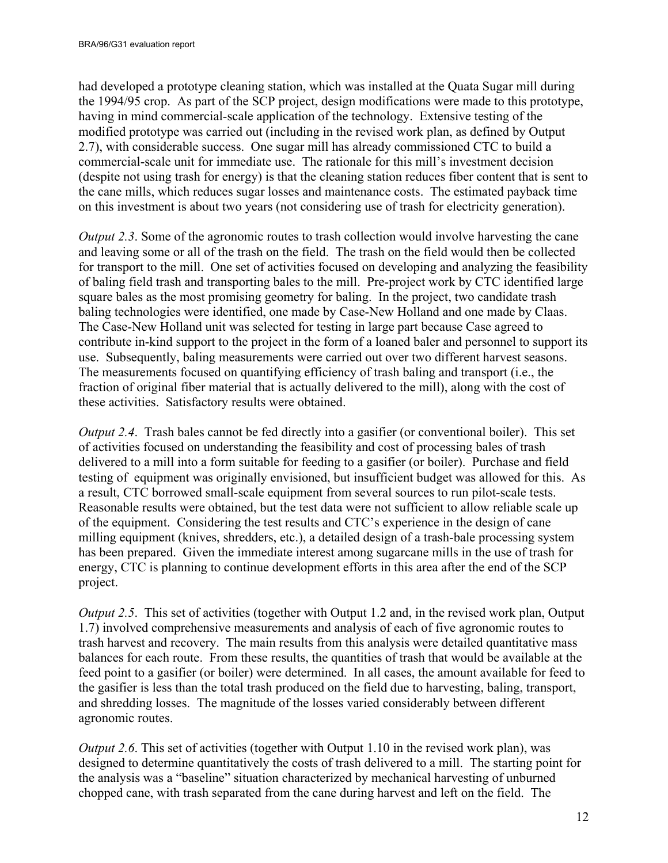had developed a prototype cleaning station, which was installed at the Quata Sugar mill during the 1994/95 crop. As part of the SCP project, design modifications were made to this prototype, having in mind commercial-scale application of the technology. Extensive testing of the modified prototype was carried out (including in the revised work plan, as defined by Output 2.7), with considerable success. One sugar mill has already commissioned CTC to build a commercial-scale unit for immediate use. The rationale for this mill's investment decision (despite not using trash for energy) is that the cleaning station reduces fiber content that is sent to the cane mills, which reduces sugar losses and maintenance costs. The estimated payback time on this investment is about two years (not considering use of trash for electricity generation).

*Output 2.3.* Some of the agronomic routes to trash collection would involve harvesting the cane and leaving some or all of the trash on the field. The trash on the field would then be collected for transport to the mill. One set of activities focused on developing and analyzing the feasibility of baling field trash and transporting bales to the mill. Pre-project work by CTC identified large square bales as the most promising geometry for baling. In the project, two candidate trash baling technologies were identified, one made by Case-New Holland and one made by Claas. The Case-New Holland unit was selected for testing in large part because Case agreed to contribute in-kind support to the project in the form of a loaned baler and personnel to support its use. Subsequently, baling measurements were carried out over two different harvest seasons. The measurements focused on quantifying efficiency of trash baling and transport (i.e., the fraction of original fiber material that is actually delivered to the mill), along with the cost of these activities. Satisfactory results were obtained.

*Output 2.4*. Trash bales cannot be fed directly into a gasifier (or conventional boiler). This set of activities focused on understanding the feasibility and cost of processing bales of trash delivered to a mill into a form suitable for feeding to a gasifier (or boiler). Purchase and field testing of equipment was originally envisioned, but insufficient budget was allowed for this. As a result, CTC borrowed small-scale equipment from several sources to run pilot-scale tests. Reasonable results were obtained, but the test data were not sufficient to allow reliable scale up of the equipment. Considering the test results and CTC's experience in the design of cane milling equipment (knives, shredders, etc.), a detailed design of a trash-bale processing system has been prepared. Given the immediate interest among sugarcane mills in the use of trash for energy, CTC is planning to continue development efforts in this area after the end of the SCP project.

*Output 2.5*. This set of activities (together with Output 1.2 and, in the revised work plan, Output 1.7) involved comprehensive measurements and analysis of each of five agronomic routes to trash harvest and recovery. The main results from this analysis were detailed quantitative mass balances for each route. From these results, the quantities of trash that would be available at the feed point to a gasifier (or boiler) were determined. In all cases, the amount available for feed to the gasifier is less than the total trash produced on the field due to harvesting, baling, transport, and shredding losses. The magnitude of the losses varied considerably between different agronomic routes.

*Output 2.6*. This set of activities (together with Output 1.10 in the revised work plan), was designed to determine quantitatively the costs of trash delivered to a mill. The starting point for the analysis was a "baseline" situation characterized by mechanical harvesting of unburned chopped cane, with trash separated from the cane during harvest and left on the field. The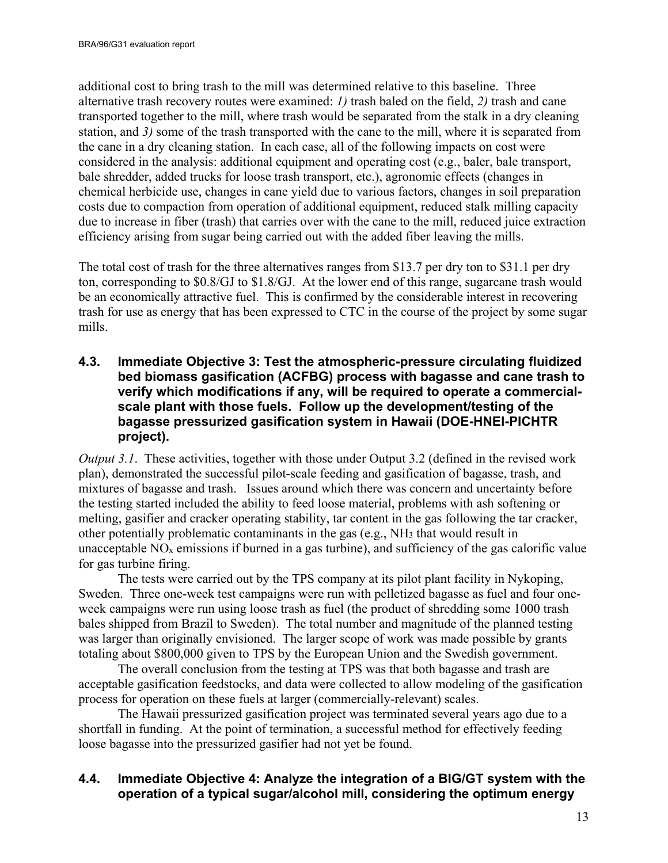additional cost to bring trash to the mill was determined relative to this baseline. Three alternative trash recovery routes were examined: *1)* trash baled on the field, *2)* trash and cane transported together to the mill, where trash would be separated from the stalk in a dry cleaning station, and *3)* some of the trash transported with the cane to the mill, where it is separated from the cane in a dry cleaning station. In each case, all of the following impacts on cost were considered in the analysis: additional equipment and operating cost (e.g., baler, bale transport, bale shredder, added trucks for loose trash transport, etc.), agronomic effects (changes in chemical herbicide use, changes in cane yield due to various factors, changes in soil preparation costs due to compaction from operation of additional equipment, reduced stalk milling capacity due to increase in fiber (trash) that carries over with the cane to the mill, reduced juice extraction efficiency arising from sugar being carried out with the added fiber leaving the mills.

The total cost of trash for the three alternatives ranges from \$13.7 per dry ton to \$31.1 per dry ton, corresponding to \$0.8/GJ to \$1.8/GJ. At the lower end of this range, sugarcane trash would be an economically attractive fuel. This is confirmed by the considerable interest in recovering trash for use as energy that has been expressed to CTC in the course of the project by some sugar mills.

#### <span id="page-12-0"></span>**4.3. Immediate Objective 3: Test the atmospheric-pressure circulating fluidized bed biomass gasification (ACFBG) process with bagasse and cane trash to verify which modifications if any, will be required to operate a commercialscale plant with those fuels. Follow up the development/testing of the bagasse pressurized gasification system in Hawaii (DOE-HNEI-PICHTR project).**

*Output 3.1*. These activities, together with those under Output 3.2 (defined in the revised work plan), demonstrated the successful pilot-scale feeding and gasification of bagasse, trash, and mixtures of bagasse and trash. Issues around which there was concern and uncertainty before the testing started included the ability to feed loose material, problems with ash softening or melting, gasifier and cracker operating stability, tar content in the gas following the tar cracker, other potentially problematic contaminants in the gas (e.g., NH3 that would result in unacceptable  $NO<sub>x</sub>$  emissions if burned in a gas turbine), and sufficiency of the gas calorific value for gas turbine firing.

The tests were carried out by the TPS company at its pilot plant facility in Nykoping, Sweden. Three one-week test campaigns were run with pelletized bagasse as fuel and four oneweek campaigns were run using loose trash as fuel (the product of shredding some 1000 trash bales shipped from Brazil to Sweden). The total number and magnitude of the planned testing was larger than originally envisioned. The larger scope of work was made possible by grants totaling about \$800,000 given to TPS by the European Union and the Swedish government.

The overall conclusion from the testing at TPS was that both bagasse and trash are acceptable gasification feedstocks, and data were collected to allow modeling of the gasification process for operation on these fuels at larger (commercially-relevant) scales.

The Hawaii pressurized gasification project was terminated several years ago due to a shortfall in funding. At the point of termination, a successful method for effectively feeding loose bagasse into the pressurized gasifier had not yet be found.

## <span id="page-12-1"></span>**4.4. Immediate Objective 4: Analyze the integration of a BIG/GT system with the operation of a typical sugar/alcohol mill, considering the optimum energy**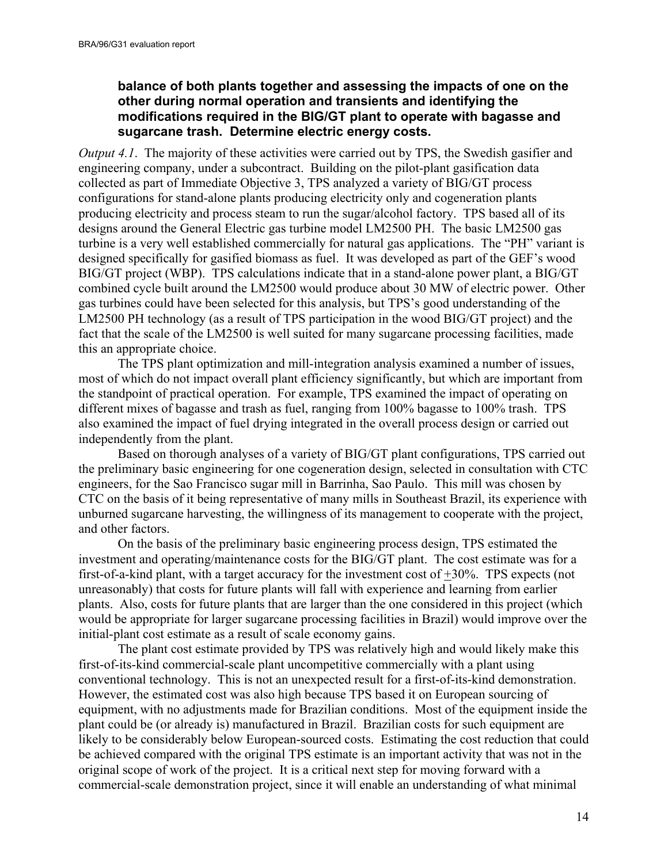#### **balance of both plants together and assessing the impacts of one on the other during normal operation and transients and identifying the modifications required in the BIG/GT plant to operate with bagasse and sugarcane trash. Determine electric energy costs.**

*Output 4.1*. The majority of these activities were carried out by TPS, the Swedish gasifier and engineering company, under a subcontract. Building on the pilot-plant gasification data collected as part of Immediate Objective 3, TPS analyzed a variety of BIG/GT process configurations for stand-alone plants producing electricity only and cogeneration plants producing electricity and process steam to run the sugar/alcohol factory. TPS based all of its designs around the General Electric gas turbine model LM2500 PH. The basic LM2500 gas turbine is a very well established commercially for natural gas applications. The "PH" variant is designed specifically for gasified biomass as fuel. It was developed as part of the GEF's wood BIG/GT project (WBP). TPS calculations indicate that in a stand-alone power plant, a BIG/GT combined cycle built around the LM2500 would produce about 30 MW of electric power. Other gas turbines could have been selected for this analysis, but TPS's good understanding of the LM2500 PH technology (as a result of TPS participation in the wood BIG/GT project) and the fact that the scale of the LM2500 is well suited for many sugarcane processing facilities, made this an appropriate choice.

 The TPS plant optimization and mill-integration analysis examined a number of issues, most of which do not impact overall plant efficiency significantly, but which are important from the standpoint of practical operation. For example, TPS examined the impact of operating on different mixes of bagasse and trash as fuel, ranging from 100% bagasse to 100% trash. TPS also examined the impact of fuel drying integrated in the overall process design or carried out independently from the plant.

 Based on thorough analyses of a variety of BIG/GT plant configurations, TPS carried out the preliminary basic engineering for one cogeneration design, selected in consultation with CTC engineers, for the Sao Francisco sugar mill in Barrinha, Sao Paulo. This mill was chosen by CTC on the basis of it being representative of many mills in Southeast Brazil, its experience with unburned sugarcane harvesting, the willingness of its management to cooperate with the project, and other factors.

On the basis of the preliminary basic engineering process design, TPS estimated the investment and operating/maintenance costs for the BIG/GT plant. The cost estimate was for a first-of-a-kind plant, with a target accuracy for the investment cost of +30%. TPS expects (not unreasonably) that costs for future plants will fall with experience and learning from earlier plants. Also, costs for future plants that are larger than the one considered in this project (which would be appropriate for larger sugarcane processing facilities in Brazil) would improve over the initial-plant cost estimate as a result of scale economy gains.

 The plant cost estimate provided by TPS was relatively high and would likely make this first-of-its-kind commercial-scale plant uncompetitive commercially with a plant using conventional technology. This is not an unexpected result for a first-of-its-kind demonstration. However, the estimated cost was also high because TPS based it on European sourcing of equipment, with no adjustments made for Brazilian conditions. Most of the equipment inside the plant could be (or already is) manufactured in Brazil. Brazilian costs for such equipment are likely to be considerably below European-sourced costs. Estimating the cost reduction that could be achieved compared with the original TPS estimate is an important activity that was not in the original scope of work of the project. It is a critical next step for moving forward with a commercial-scale demonstration project, since it will enable an understanding of what minimal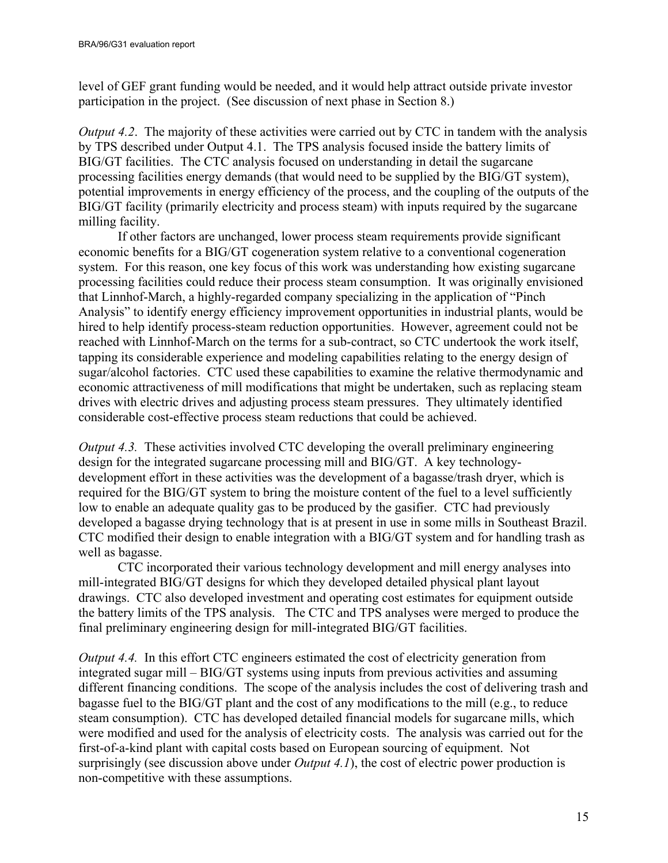level of GEF grant funding would be needed, and it would help attract outside private investor participation in the project. (See discussion of next phase in Section [8.](#page-20-1))

*Output 4.2.* The majority of these activities were carried out by CTC in tandem with the analysis by TPS described under Output 4.1. The TPS analysis focused inside the battery limits of BIG/GT facilities. The CTC analysis focused on understanding in detail the sugarcane processing facilities energy demands (that would need to be supplied by the BIG/GT system), potential improvements in energy efficiency of the process, and the coupling of the outputs of the BIG/GT facility (primarily electricity and process steam) with inputs required by the sugarcane milling facility.

If other factors are unchanged, lower process steam requirements provide significant economic benefits for a BIG/GT cogeneration system relative to a conventional cogeneration system. For this reason, one key focus of this work was understanding how existing sugarcane processing facilities could reduce their process steam consumption. It was originally envisioned that Linnhof-March, a highly-regarded company specializing in the application of "Pinch Analysis" to identify energy efficiency improvement opportunities in industrial plants, would be hired to help identify process-steam reduction opportunities. However, agreement could not be reached with Linnhof-March on the terms for a sub-contract, so CTC undertook the work itself, tapping its considerable experience and modeling capabilities relating to the energy design of sugar/alcohol factories. CTC used these capabilities to examine the relative thermodynamic and economic attractiveness of mill modifications that might be undertaken, such as replacing steam drives with electric drives and adjusting process steam pressures. They ultimately identified considerable cost-effective process steam reductions that could be achieved.

*Output 4.3.* These activities involved CTC developing the overall preliminary engineering design for the integrated sugarcane processing mill and BIG/GT. A key technologydevelopment effort in these activities was the development of a bagasse/trash dryer, which is required for the BIG/GT system to bring the moisture content of the fuel to a level sufficiently low to enable an adequate quality gas to be produced by the gasifier. CTC had previously developed a bagasse drying technology that is at present in use in some mills in Southeast Brazil. CTC modified their design to enable integration with a BIG/GT system and for handling trash as well as bagasse.

CTC incorporated their various technology development and mill energy analyses into mill-integrated BIG/GT designs for which they developed detailed physical plant layout drawings. CTC also developed investment and operating cost estimates for equipment outside the battery limits of the TPS analysis. The CTC and TPS analyses were merged to produce the final preliminary engineering design for mill-integrated BIG/GT facilities.

*Output 4.4.* In this effort CTC engineers estimated the cost of electricity generation from integrated sugar mill – BIG/GT systems using inputs from previous activities and assuming different financing conditions. The scope of the analysis includes the cost of delivering trash and bagasse fuel to the BIG/GT plant and the cost of any modifications to the mill (e.g., to reduce steam consumption). CTC has developed detailed financial models for sugarcane mills, which were modified and used for the analysis of electricity costs. The analysis was carried out for the first-of-a-kind plant with capital costs based on European sourcing of equipment. Not surprisingly (see discussion above under *Output 4.1*), the cost of electric power production is non-competitive with these assumptions.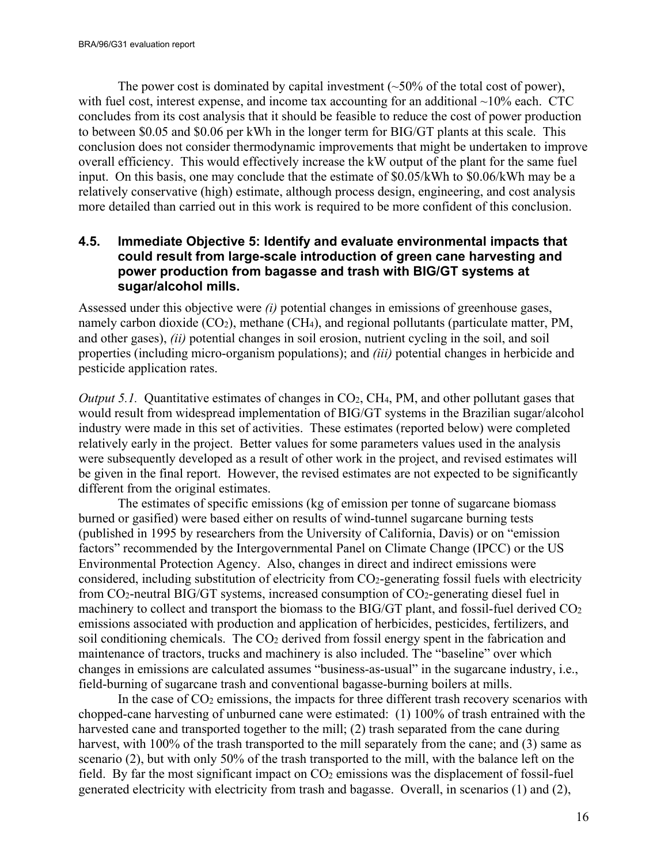The power cost is dominated by capital investment  $(-50\%$  of the total cost of power), with fuel cost, interest expense, and income tax accounting for an additional  $\sim$ 10% each. CTC concludes from its cost analysis that it should be feasible to reduce the cost of power production to between \$0.05 and \$0.06 per kWh in the longer term for BIG/GT plants at this scale. This conclusion does not consider thermodynamic improvements that might be undertaken to improve overall efficiency. This would effectively increase the kW output of the plant for the same fuel input. On this basis, one may conclude that the estimate of \$0.05/kWh to \$0.06/kWh may be a relatively conservative (high) estimate, although process design, engineering, and cost analysis more detailed than carried out in this work is required to be more confident of this conclusion.

#### <span id="page-15-0"></span>**4.5. Immediate Objective 5: Identify and evaluate environmental impacts that could result from large-scale introduction of green cane harvesting and power production from bagasse and trash with BIG/GT systems at sugar/alcohol mills.**

Assessed under this objective were *(i)* potential changes in emissions of greenhouse gases, namely carbon dioxide (CO<sub>2</sub>), methane (CH<sub>4</sub>), and regional pollutants (particulate matter, PM, and other gases), *(ii)* potential changes in soil erosion, nutrient cycling in the soil, and soil properties (including micro-organism populations); and *(iii)* potential changes in herbicide and pesticide application rates.

*Output 5.1.* Quantitative estimates of changes in CO<sub>2</sub>, CH<sub>4</sub>, PM, and other pollutant gases that would result from widespread implementation of BIG/GT systems in the Brazilian sugar/alcohol industry were made in this set of activities. These estimates (reported below) were completed relatively early in the project. Better values for some parameters values used in the analysis were subsequently developed as a result of other work in the project, and revised estimates will be given in the final report. However, the revised estimates are not expected to be significantly different from the original estimates.

The estimates of specific emissions (kg of emission per tonne of sugarcane biomass burned or gasified) were based either on results of wind-tunnel sugarcane burning tests (published in 1995 by researchers from the University of California, Davis) or on "emission factors" recommended by the Intergovernmental Panel on Climate Change (IPCC) or the US Environmental Protection Agency. Also, changes in direct and indirect emissions were considered, including substitution of electricity from CO2-generating fossil fuels with electricity from  $CO_2$ -neutral BIG/GT systems, increased consumption of  $CO_2$ -generating diesel fuel in machinery to collect and transport the biomass to the BIG/GT plant, and fossil-fuel derived CO<sub>2</sub> emissions associated with production and application of herbicides, pesticides, fertilizers, and soil conditioning chemicals. The CO<sub>2</sub> derived from fossil energy spent in the fabrication and maintenance of tractors, trucks and machinery is also included. The "baseline" over which changes in emissions are calculated assumes "business-as-usual" in the sugarcane industry, i.e., field-burning of sugarcane trash and conventional bagasse-burning boilers at mills.

In the case of  $CO<sub>2</sub>$  emissions, the impacts for three different trash recovery scenarios with chopped-cane harvesting of unburned cane were estimated: (1) 100% of trash entrained with the harvested cane and transported together to the mill; (2) trash separated from the cane during harvest, with 100% of the trash transported to the mill separately from the cane; and (3) same as scenario (2), but with only 50% of the trash transported to the mill, with the balance left on the field. By far the most significant impact on  $CO<sub>2</sub>$  emissions was the displacement of fossil-fuel generated electricity with electricity from trash and bagasse. Overall, in scenarios (1) and (2),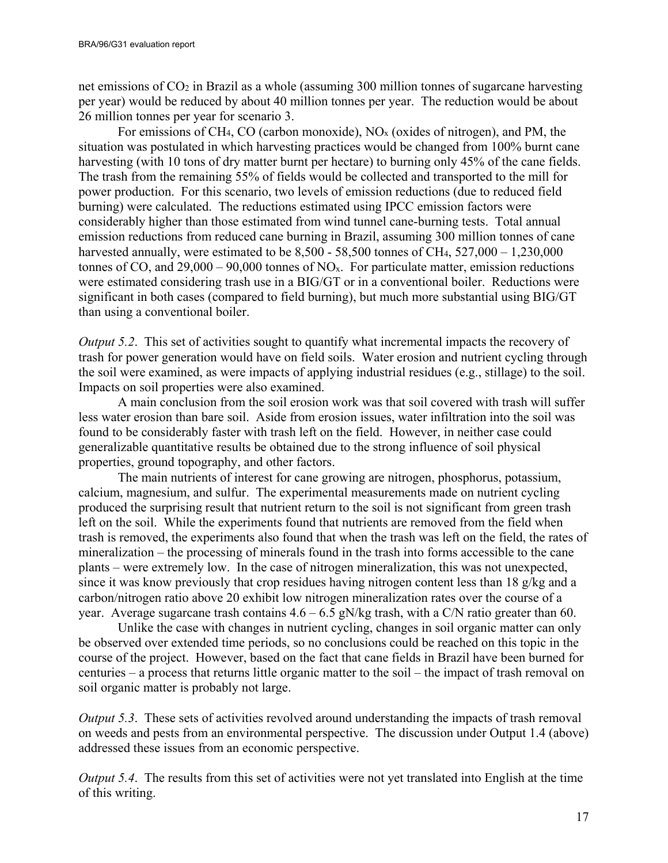net emissions of CO2 in Brazil as a whole (assuming 300 million tonnes of sugarcane harvesting per year) would be reduced by about 40 million tonnes per year. The reduction would be about 26 million tonnes per year for scenario 3.

For emissions of CH<sub>4</sub>, CO (carbon monoxide),  $NO<sub>x</sub>$  (oxides of nitrogen), and PM, the situation was postulated in which harvesting practices would be changed from 100% burnt cane harvesting (with 10 tons of dry matter burnt per hectare) to burning only 45% of the cane fields. The trash from the remaining 55% of fields would be collected and transported to the mill for power production. For this scenario, two levels of emission reductions (due to reduced field burning) were calculated. The reductions estimated using IPCC emission factors were considerably higher than those estimated from wind tunnel cane-burning tests. Total annual emission reductions from reduced cane burning in Brazil, assuming 300 million tonnes of cane harvested annually, were estimated to be  $8,500 - 58,500$  tonnes of CH<sub>4</sub>,  $527,000 - 1,230,000$ tonnes of CO, and  $29,000 - 90,000$  tonnes of NO<sub>x</sub>. For particulate matter, emission reductions were estimated considering trash use in a BIG/GT or in a conventional boiler. Reductions were significant in both cases (compared to field burning), but much more substantial using BIG/GT than using a conventional boiler.

*Output 5.2.* This set of activities sought to quantify what incremental impacts the recovery of trash for power generation would have on field soils. Water erosion and nutrient cycling through the soil were examined, as were impacts of applying industrial residues (e.g., stillage) to the soil. Impacts on soil properties were also examined.

A main conclusion from the soil erosion work was that soil covered with trash will suffer less water erosion than bare soil. Aside from erosion issues, water infiltration into the soil was found to be considerably faster with trash left on the field. However, in neither case could generalizable quantitative results be obtained due to the strong influence of soil physical properties, ground topography, and other factors.

The main nutrients of interest for cane growing are nitrogen, phosphorus, potassium, calcium, magnesium, and sulfur. The experimental measurements made on nutrient cycling produced the surprising result that nutrient return to the soil is not significant from green trash left on the soil. While the experiments found that nutrients are removed from the field when trash is removed, the experiments also found that when the trash was left on the field, the rates of mineralization – the processing of minerals found in the trash into forms accessible to the cane plants – were extremely low. In the case of nitrogen mineralization, this was not unexpected, since it was know previously that crop residues having nitrogen content less than 18 g/kg and a carbon/nitrogen ratio above 20 exhibit low nitrogen mineralization rates over the course of a year. Average sugarcane trash contains  $4.6 - 6.5$  gN/kg trash, with a C/N ratio greater than 60.

Unlike the case with changes in nutrient cycling, changes in soil organic matter can only be observed over extended time periods, so no conclusions could be reached on this topic in the course of the project. However, based on the fact that cane fields in Brazil have been burned for centuries – a process that returns little organic matter to the soil – the impact of trash removal on soil organic matter is probably not large.

*Output 5.3.* These sets of activities revolved around understanding the impacts of trash removal on weeds and pests from an environmental perspective. The discussion under Output 1.4 (above) addressed these issues from an economic perspective.

*Output 5.4.* The results from this set of activities were not yet translated into English at the time of this writing.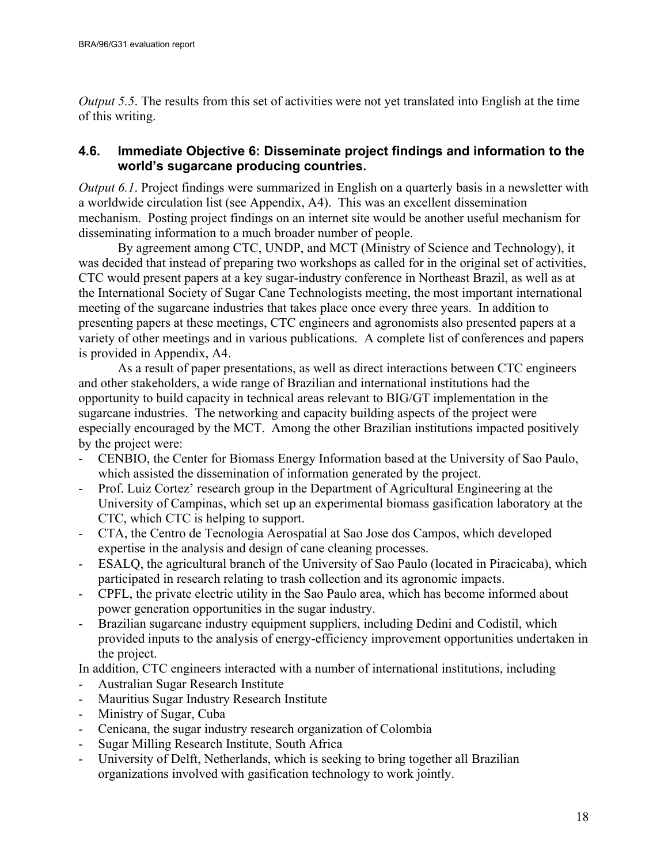*Output 5.5*. The results from this set of activities were not yet translated into English at the time of this writing.

## <span id="page-17-0"></span>**4.6. Immediate Objective 6: Disseminate project findings and information to the world's sugarcane producing countries.**

*Output 6.1*. Project findings were summarized in English on a quarterly basis in a newsletter with a worldwide circulation list (see Appendix, A4). This was an excellent dissemination mechanism. Posting project findings on an internet site would be another useful mechanism for disseminating information to a much broader number of people.

By agreement among CTC, UNDP, and MCT (Ministry of Science and Technology), it was decided that instead of preparing two workshops as called for in the original set of activities, CTC would present papers at a key sugar-industry conference in Northeast Brazil, as well as at the International Society of Sugar Cane Technologists meeting, the most important international meeting of the sugarcane industries that takes place once every three years. In addition to presenting papers at these meetings, CTC engineers and agronomists also presented papers at a variety of other meetings and in various publications. A complete list of conferences and papers is provided in Appendix, A4.

As a result of paper presentations, as well as direct interactions between CTC engineers and other stakeholders, a wide range of Brazilian and international institutions had the opportunity to build capacity in technical areas relevant to BIG/GT implementation in the sugarcane industries. The networking and capacity building aspects of the project were especially encouraged by the MCT. Among the other Brazilian institutions impacted positively by the project were:

- CENBIO, the Center for Biomass Energy Information based at the University of Sao Paulo, which assisted the dissemination of information generated by the project.
- Prof. Luiz Cortez' research group in the Department of Agricultural Engineering at the University of Campinas, which set up an experimental biomass gasification laboratory at the CTC, which CTC is helping to support.
- CTA, the Centro de Tecnologia Aerospatial at Sao Jose dos Campos, which developed expertise in the analysis and design of cane cleaning processes.
- ESALQ, the agricultural branch of the University of Sao Paulo (located in Piracicaba), which participated in research relating to trash collection and its agronomic impacts.
- CPFL, the private electric utility in the Sao Paulo area, which has become informed about power generation opportunities in the sugar industry.
- Brazilian sugarcane industry equipment suppliers, including Dedini and Codistil, which provided inputs to the analysis of energy-efficiency improvement opportunities undertaken in the project.

In addition, CTC engineers interacted with a number of international institutions, including

- Australian Sugar Research Institute
- Mauritius Sugar Industry Research Institute
- Ministry of Sugar, Cuba
- Cenicana, the sugar industry research organization of Colombia
- Sugar Milling Research Institute, South Africa
- University of Delft, Netherlands, which is seeking to bring together all Brazilian organizations involved with gasification technology to work jointly.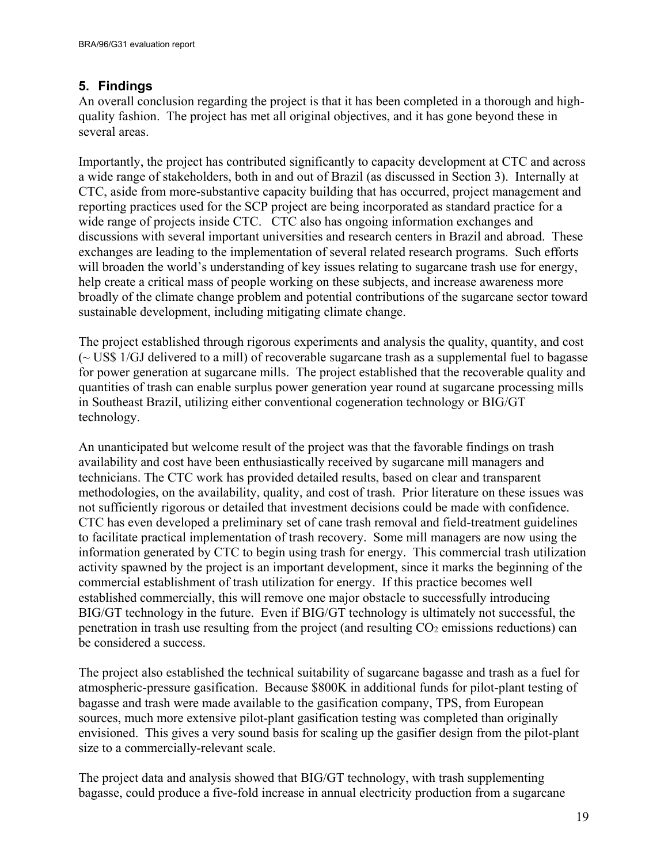## <span id="page-18-0"></span>**5. Findings**

An overall conclusion regarding the project is that it has been completed in a thorough and highquality fashion. The project has met all original objectives, and it has gone beyond these in several areas.

Importantly, the project has contributed significantly to capacity development at CTC and across a wide range of stakeholders, both in and out of Brazil (as discussed in Section [3\)](#page-7-0). Internally at CTC, aside from more-substantive capacity building that has occurred, project management and reporting practices used for the SCP project are being incorporated as standard practice for a wide range of projects inside CTC. CTC also has ongoing information exchanges and discussions with several important universities and research centers in Brazil and abroad. These exchanges are leading to the implementation of several related research programs. Such efforts will broaden the world's understanding of key issues relating to sugarcane trash use for energy, help create a critical mass of people working on these subjects, and increase awareness more broadly of the climate change problem and potential contributions of the sugarcane sector toward sustainable development, including mitigating climate change.

The project established through rigorous experiments and analysis the quality, quantity, and cost (~ US\$ 1/GJ delivered to a mill) of recoverable sugarcane trash as a supplemental fuel to bagasse for power generation at sugarcane mills. The project established that the recoverable quality and quantities of trash can enable surplus power generation year round at sugarcane processing mills in Southeast Brazil, utilizing either conventional cogeneration technology or BIG/GT technology.

An unanticipated but welcome result of the project was that the favorable findings on trash availability and cost have been enthusiastically received by sugarcane mill managers and technicians. The CTC work has provided detailed results, based on clear and transparent methodologies, on the availability, quality, and cost of trash. Prior literature on these issues was not sufficiently rigorous or detailed that investment decisions could be made with confidence. CTC has even developed a preliminary set of cane trash removal and field-treatment guidelines to facilitate practical implementation of trash recovery. Some mill managers are now using the information generated by CTC to begin using trash for energy. This commercial trash utilization activity spawned by the project is an important development, since it marks the beginning of the commercial establishment of trash utilization for energy. If this practice becomes well established commercially, this will remove one major obstacle to successfully introducing BIG/GT technology in the future. Even if BIG/GT technology is ultimately not successful, the penetration in trash use resulting from the project (and resulting  $CO<sub>2</sub>$  emissions reductions) can be considered a success.

The project also established the technical suitability of sugarcane bagasse and trash as a fuel for atmospheric-pressure gasification. Because \$800K in additional funds for pilot-plant testing of bagasse and trash were made available to the gasification company, TPS, from European sources, much more extensive pilot-plant gasification testing was completed than originally envisioned. This gives a very sound basis for scaling up the gasifier design from the pilot-plant size to a commercially-relevant scale.

The project data and analysis showed that BIG/GT technology, with trash supplementing bagasse, could produce a five-fold increase in annual electricity production from a sugarcane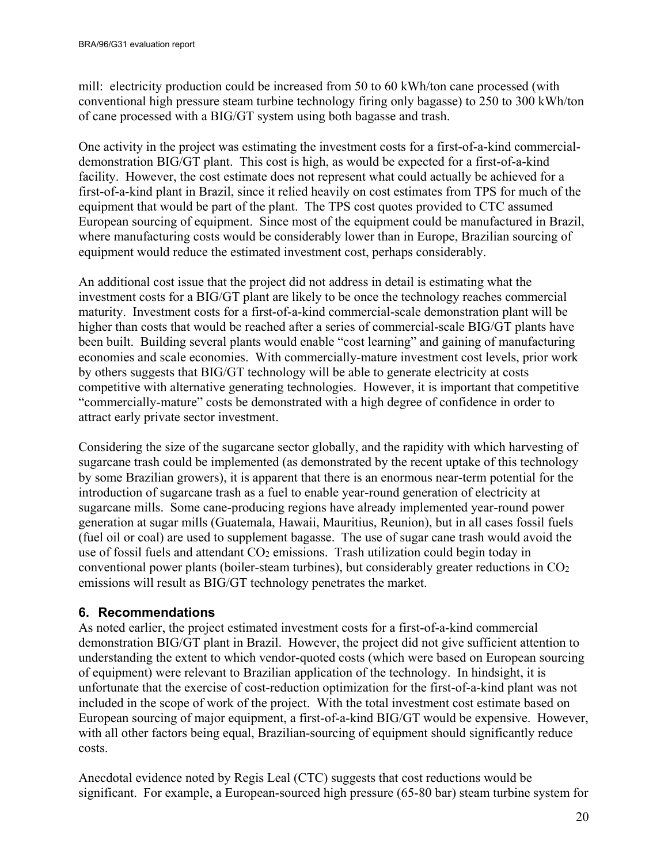mill: electricity production could be increased from 50 to 60 kWh/ton cane processed (with conventional high pressure steam turbine technology firing only bagasse) to 250 to 300 kWh/ton of cane processed with a BIG/GT system using both bagasse and trash.

One activity in the project was estimating the investment costs for a first-of-a-kind commercialdemonstration BIG/GT plant. This cost is high, as would be expected for a first-of-a-kind facility. However, the cost estimate does not represent what could actually be achieved for a first-of-a-kind plant in Brazil, since it relied heavily on cost estimates from TPS for much of the equipment that would be part of the plant. The TPS cost quotes provided to CTC assumed European sourcing of equipment. Since most of the equipment could be manufactured in Brazil, where manufacturing costs would be considerably lower than in Europe, Brazilian sourcing of equipment would reduce the estimated investment cost, perhaps considerably.

An additional cost issue that the project did not address in detail is estimating what the investment costs for a BIG/GT plant are likely to be once the technology reaches commercial maturity. Investment costs for a first-of-a-kind commercial-scale demonstration plant will be higher than costs that would be reached after a series of commercial-scale BIG/GT plants have been built. Building several plants would enable "cost learning" and gaining of manufacturing economies and scale economies. With commercially-mature investment cost levels, prior work by others suggests that BIG/GT technology will be able to generate electricity at costs competitive with alternative generating technologies. However, it is important that competitive "commercially-mature" costs be demonstrated with a high degree of confidence in order to attract early private sector investment.

Considering the size of the sugarcane sector globally, and the rapidity with which harvesting of sugarcane trash could be implemented (as demonstrated by the recent uptake of this technology by some Brazilian growers), it is apparent that there is an enormous near-term potential for the introduction of sugarcane trash as a fuel to enable year-round generation of electricity at sugarcane mills. Some cane-producing regions have already implemented year-round power generation at sugar mills (Guatemala, Hawaii, Mauritius, Reunion), but in all cases fossil fuels (fuel oil or coal) are used to supplement bagasse. The use of sugar cane trash would avoid the use of fossil fuels and attendant CO<sub>2</sub> emissions. Trash utilization could begin today in conventional power plants (boiler-steam turbines), but considerably greater reductions in  $CO<sub>2</sub>$ emissions will result as BIG/GT technology penetrates the market.

#### <span id="page-19-0"></span>**6. Recommendations**

As noted earlier, the project estimated investment costs for a first-of-a-kind commercial demonstration BIG/GT plant in Brazil. However, the project did not give sufficient attention to understanding the extent to which vendor-quoted costs (which were based on European sourcing of equipment) were relevant to Brazilian application of the technology. In hindsight, it is unfortunate that the exercise of cost-reduction optimization for the first-of-a-kind plant was not included in the scope of work of the project. With the total investment cost estimate based on European sourcing of major equipment, a first-of-a-kind BIG/GT would be expensive. However, with all other factors being equal, Brazilian-sourcing of equipment should significantly reduce costs.

Anecdotal evidence noted by Regis Leal (CTC) suggests that cost reductions would be significant. For example, a European-sourced high pressure (65-80 bar) steam turbine system for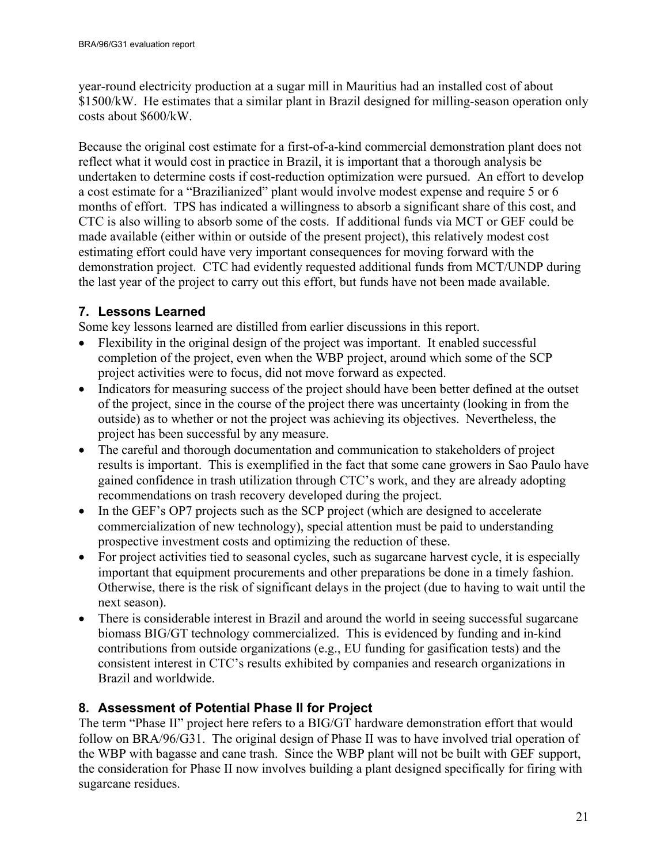year-round electricity production at a sugar mill in Mauritius had an installed cost of about \$1500/kW. He estimates that a similar plant in Brazil designed for milling-season operation only costs about \$600/kW.

Because the original cost estimate for a first-of-a-kind commercial demonstration plant does not reflect what it would cost in practice in Brazil, it is important that a thorough analysis be undertaken to determine costs if cost-reduction optimization were pursued. An effort to develop a cost estimate for a "Brazilianized" plant would involve modest expense and require 5 or 6 months of effort. TPS has indicated a willingness to absorb a significant share of this cost, and CTC is also willing to absorb some of the costs. If additional funds via MCT or GEF could be made available (either within or outside of the present project), this relatively modest cost estimating effort could have very important consequences for moving forward with the demonstration project. CTC had evidently requested additional funds from MCT/UNDP during the last year of the project to carry out this effort, but funds have not been made available.

## <span id="page-20-0"></span>**7. Lessons Learned**

Some key lessons learned are distilled from earlier discussions in this report.

- Flexibility in the original design of the project was important. It enabled successful completion of the project, even when the WBP project, around which some of the SCP project activities were to focus, did not move forward as expected.
- Indicators for measuring success of the project should have been better defined at the outset of the project, since in the course of the project there was uncertainty (looking in from the outside) as to whether or not the project was achieving its objectives. Nevertheless, the project has been successful by any measure.
- The careful and thorough documentation and communication to stakeholders of project results is important. This is exemplified in the fact that some cane growers in Sao Paulo have gained confidence in trash utilization through CTC's work, and they are already adopting recommendations on trash recovery developed during the project.
- In the GEF's OP7 projects such as the SCP project (which are designed to accelerate commercialization of new technology), special attention must be paid to understanding prospective investment costs and optimizing the reduction of these.
- For project activities tied to seasonal cycles, such as sugarcane harvest cycle, it is especially important that equipment procurements and other preparations be done in a timely fashion. Otherwise, there is the risk of significant delays in the project (due to having to wait until the next season).
- There is considerable interest in Brazil and around the world in seeing successful sugarcane biomass BIG/GT technology commercialized. This is evidenced by funding and in-kind contributions from outside organizations (e.g., EU funding for gasification tests) and the consistent interest in CTC's results exhibited by companies and research organizations in Brazil and worldwide.

## <span id="page-20-1"></span>**8. Assessment of Potential Phase II for Project**

The term "Phase II" project here refers to a BIG/GT hardware demonstration effort that would follow on BRA/96/G31. The original design of Phase II was to have involved trial operation of the WBP with bagasse and cane trash. Since the WBP plant will not be built with GEF support, the consideration for Phase II now involves building a plant designed specifically for firing with sugarcane residues.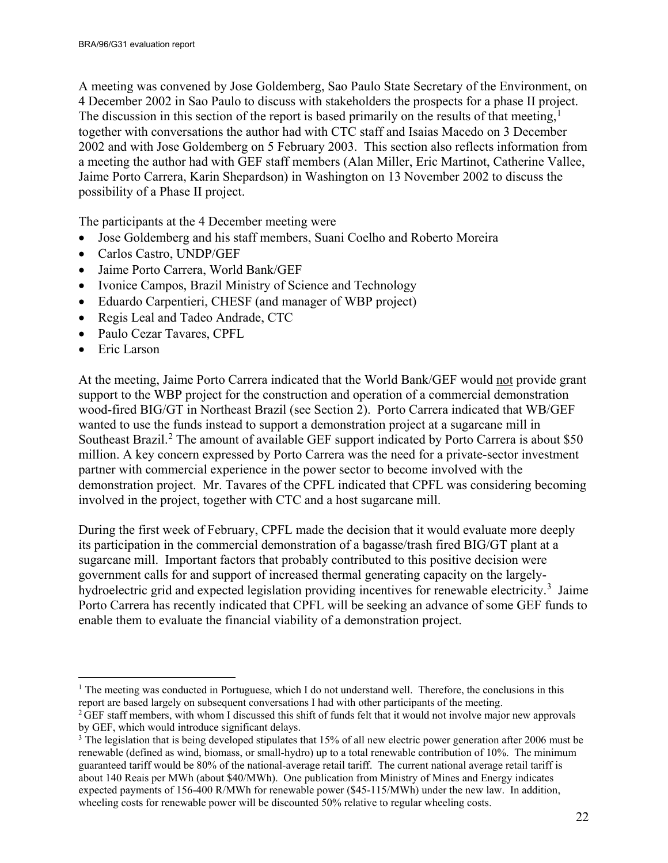A meeting was convened by Jose Goldemberg, Sao Paulo State Secretary of the Environment, on 4 December 2002 in Sao Paulo to discuss with stakeholders the prospects for a phase II project. The discussion in this section of the report is based primarily on the results of that meeting,<sup>[1](#page-21-0)</sup> together with conversations the author had with CTC staff and Isaias Macedo on 3 December 2002 and with Jose Goldemberg on 5 February 2003. This section also reflects information from a meeting the author had with GEF staff members (Alan Miller, Eric Martinot, Catherine Vallee, Jaime Porto Carrera, Karin Shepardson) in Washington on 13 November 2002 to discuss the possibility of a Phase II project.

The participants at the 4 December meeting were

- Jose Goldemberg and his staff members, Suani Coelho and Roberto Moreira
- Carlos Castro, UNDP/GEF
- Jaime Porto Carrera, World Bank/GEF
- Ivonice Campos, Brazil Ministry of Science and Technology
- Eduardo Carpentieri, CHESF (and manager of WBP project)
- Regis Leal and Tadeo Andrade, CTC
- Paulo Cezar Tavares, CPFL
- Eric Larson

 $\overline{a}$ 

At the meeting, Jaime Porto Carrera indicated that the World Bank/GEF would not provide grant support to the WBP project for the construction and operation of a commercial demonstration wood-fired BIG/GT in Northeast Brazil (see Section [2\)](#page-4-2). Porto Carrera indicated that WB/GEF wanted to use the funds instead to support a demonstration project at a sugarcane mill in Southeast Brazil.<sup>[2](#page-21-1)</sup> The amount of available GEF support indicated by Porto Carrera is about \$50 million. A key concern expressed by Porto Carrera was the need for a private-sector investment partner with commercial experience in the power sector to become involved with the demonstration project. Mr. Tavares of the CPFL indicated that CPFL was considering becoming involved in the project, together with CTC and a host sugarcane mill.

During the first week of February, CPFL made the decision that it would evaluate more deeply its participation in the commercial demonstration of a bagasse/trash fired BIG/GT plant at a sugarcane mill. Important factors that probably contributed to this positive decision were government calls for and support of increased thermal generating capacity on the largely-hydroelectric grid and expected legislation providing incentives for renewable electricity.<sup>[3](#page-21-2)</sup> Jaime Porto Carrera has recently indicated that CPFL will be seeking an advance of some GEF funds to enable them to evaluate the financial viability of a demonstration project.

<span id="page-21-0"></span><sup>&</sup>lt;sup>1</sup> The meeting was conducted in Portuguese, which I do not understand well. Therefore, the conclusions in this report are based largely on subsequent conversations I had with other participants of the meeting. <sup>2</sup> GEF staff members, with whom I discussed this shift of funds felt that it would not involve major new approvals by GEF, which would introduce significant delays.

<span id="page-21-2"></span><span id="page-21-1"></span><sup>&</sup>lt;sup>3</sup> The legislation that is being developed stipulates that 15% of all new electric power generation after 2006 must be renewable (defined as wind, biomass, or small-hydro) up to a total renewable contribution of 10%. The minimum guaranteed tariff would be 80% of the national-average retail tariff. The current national average retail tariff is about 140 Reais per MWh (about \$40/MWh). One publication from Ministry of Mines and Energy indicates expected payments of 156-400 R/MWh for renewable power (\$45-115/MWh) under the new law. In addition, wheeling costs for renewable power will be discounted 50% relative to regular wheeling costs.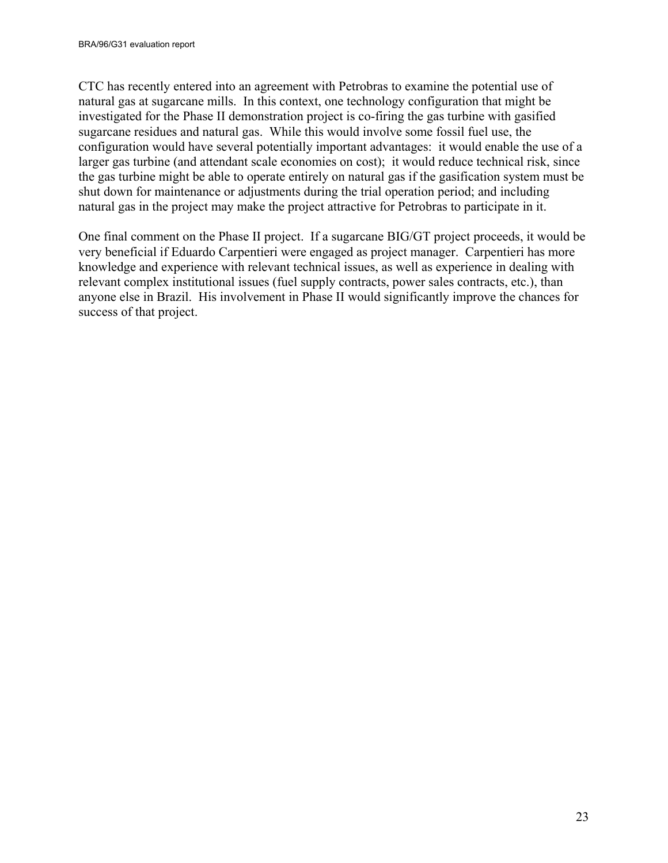CTC has recently entered into an agreement with Petrobras to examine the potential use of natural gas at sugarcane mills. In this context, one technology configuration that might be investigated for the Phase II demonstration project is co-firing the gas turbine with gasified sugarcane residues and natural gas. While this would involve some fossil fuel use, the configuration would have several potentially important advantages: it would enable the use of a larger gas turbine (and attendant scale economies on cost); it would reduce technical risk, since the gas turbine might be able to operate entirely on natural gas if the gasification system must be shut down for maintenance or adjustments during the trial operation period; and including natural gas in the project may make the project attractive for Petrobras to participate in it.

One final comment on the Phase II project. If a sugarcane BIG/GT project proceeds, it would be very beneficial if Eduardo Carpentieri were engaged as project manager. Carpentieri has more knowledge and experience with relevant technical issues, as well as experience in dealing with relevant complex institutional issues (fuel supply contracts, power sales contracts, etc.), than anyone else in Brazil. His involvement in Phase II would significantly improve the chances for success of that project.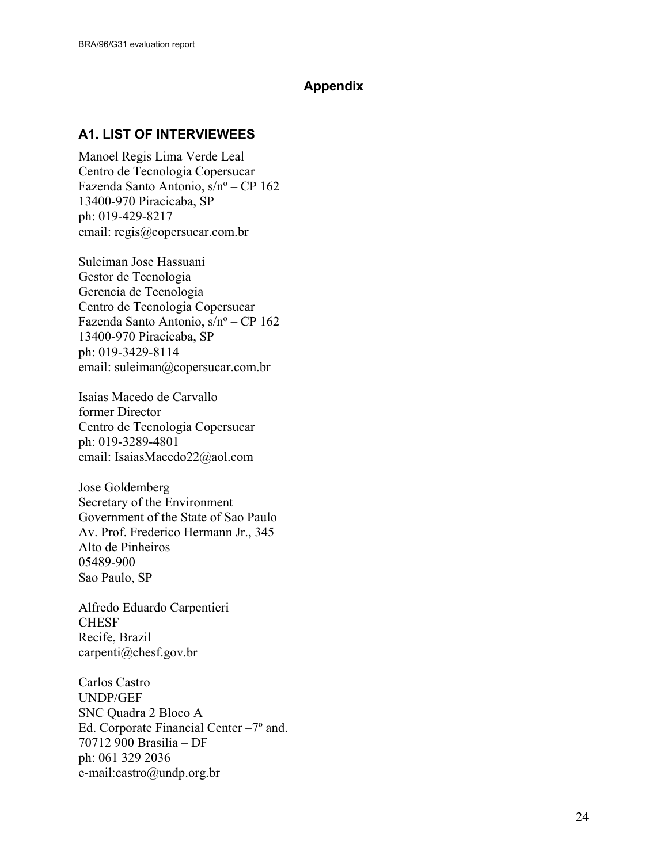#### **Appendix**

## <span id="page-23-1"></span><span id="page-23-0"></span>**A1. LIST OF INTERVIEWEES**

Manoel Regis Lima Verde Leal Centro de Tecnologia Copersucar Fazenda Santo Antonio, s/nº - CP 162 13400-970 Piracicaba, SP ph: 019-429-8217 email: regis@copersucar.com.br

Suleiman Jose Hassuani Gestor de Tecnologia Gerencia de Tecnologia Centro de Tecnologia Copersucar Fazenda Santo Antonio, s/nº - CP 162 13400-970 Piracicaba, SP ph: 019-3429-8114 email: suleiman@copersucar.com.br

Isaias Macedo de Carvallo former Director Centro de Tecnologia Copersucar ph: 019-3289-4801 email: IsaiasMacedo22@aol.com

Jose Goldemberg Secretary of the Environment Government of the State of Sao Paulo Av. Prof. Frederico Hermann Jr., 345 Alto de Pinheiros 05489-900 Sao Paulo, SP

Alfredo Eduardo Carpentieri **CHESF** Recife, Brazil carpenti@chesf.gov.br

Carlos Castro UNDP/GEF SNC Quadra 2 Bloco A Ed. Corporate Financial Center –7º and. 70712 900 Brasilia – DF ph: 061 329 2036 e-mail:castro@undp.org.br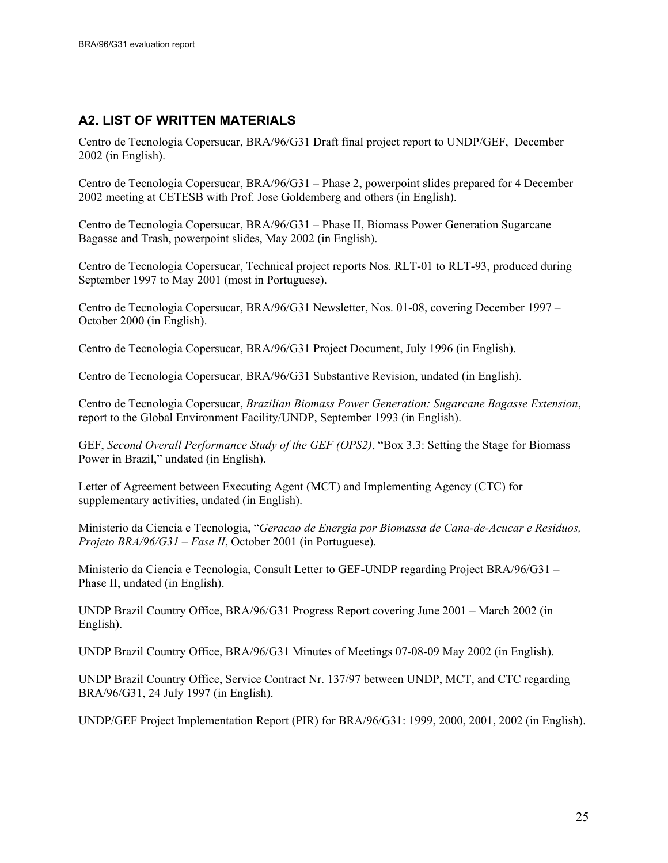#### <span id="page-24-0"></span>**A2. LIST OF WRITTEN MATERIALS**

Centro de Tecnologia Copersucar, BRA/96/G31 Draft final project report to UNDP/GEF, December 2002 (in English).

Centro de Tecnologia Copersucar, BRA/96/G31 – Phase 2, powerpoint slides prepared for 4 December 2002 meeting at CETESB with Prof. Jose Goldemberg and others (in English).

Centro de Tecnologia Copersucar, BRA/96/G31 – Phase II, Biomass Power Generation Sugarcane Bagasse and Trash, powerpoint slides, May 2002 (in English).

Centro de Tecnologia Copersucar, Technical project reports Nos. RLT-01 to RLT-93, produced during September 1997 to May 2001 (most in Portuguese).

Centro de Tecnologia Copersucar, BRA/96/G31 Newsletter, Nos. 01-08, covering December 1997 – October 2000 (in English).

Centro de Tecnologia Copersucar, BRA/96/G31 Project Document, July 1996 (in English).

Centro de Tecnologia Copersucar, BRA/96/G31 Substantive Revision, undated (in English).

Centro de Tecnologia Copersucar, *Brazilian Biomass Power Generation: Sugarcane Bagasse Extension*, report to the Global Environment Facility/UNDP, September 1993 (in English).

GEF, *Second Overall Performance Study of the GEF (OPS2)*, "Box 3.3: Setting the Stage for Biomass Power in Brazil," undated (in English).

Letter of Agreement between Executing Agent (MCT) and Implementing Agency (CTC) for supplementary activities, undated (in English).

Ministerio da Ciencia e Tecnologia, "*Geracao de Energia por Biomassa de Cana-de-Acucar e Residuos, Projeto BRA/96/G31 – Fase II*, October 2001 (in Portuguese).

Ministerio da Ciencia e Tecnologia, Consult Letter to GEF-UNDP regarding Project BRA/96/G31 – Phase II, undated (in English).

UNDP Brazil Country Office, BRA/96/G31 Progress Report covering June 2001 – March 2002 (in English).

UNDP Brazil Country Office, BRA/96/G31 Minutes of Meetings 07-08-09 May 2002 (in English).

UNDP Brazil Country Office, Service Contract Nr. 137/97 between UNDP, MCT, and CTC regarding BRA/96/G31, 24 July 1997 (in English).

UNDP/GEF Project Implementation Report (PIR) for BRA/96/G31: 1999, 2000, 2001, 2002 (in English).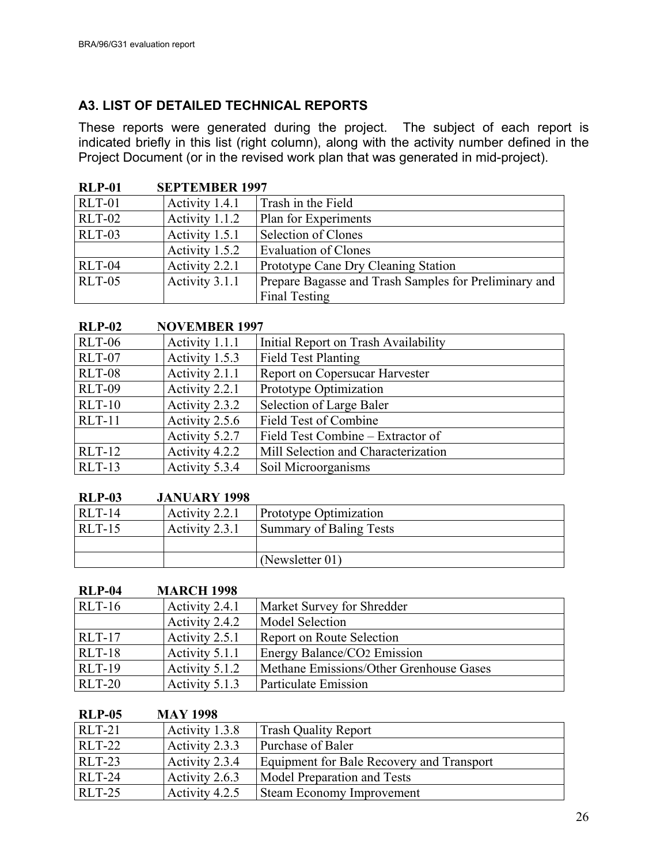## <span id="page-25-0"></span>**A3. LIST OF DETAILED TECHNICAL REPORTS**

These reports were generated during the project. The subject of each report is indicated briefly in this list (right column), along with the activity number defined in the Project Document (or in the revised work plan that was generated in mid-project).

| <b>RLP-01</b> | <b>SEPTEMBER 1997</b> |                                                       |
|---------------|-----------------------|-------------------------------------------------------|
| <b>RLT-01</b> | Activity 1.4.1        | Trash in the Field                                    |
| <b>RLT-02</b> | Activity 1.1.2        | Plan for Experiments                                  |
| RLT-03        | Activity 1.5.1        | Selection of Clones                                   |
|               | Activity 1.5.2        | <b>Evaluation of Clones</b>                           |
| RLT-04        | Activity 2.2.1        | Prototype Cane Dry Cleaning Station                   |
| $RLT-05$      | Activity 3.1.1        | Prepare Bagasse and Trash Samples for Preliminary and |
|               |                       | <b>Final Testing</b>                                  |

#### **RLP-02 NOVEMBER 1997**

| <b>RLT-06</b> | Activity 1.1.1 | Initial Report on Trash Availability  |
|---------------|----------------|---------------------------------------|
| RLT-07        | Activity 1.5.3 | <b>Field Test Planting</b>            |
| <b>RLT-08</b> | Activity 2.1.1 | <b>Report on Copersucar Harvester</b> |
| <b>RLT-09</b> | Activity 2.2.1 | Prototype Optimization                |
| $RLT-10$      | Activity 2.3.2 | Selection of Large Baler              |
| $RLT-11$      | Activity 2.5.6 | Field Test of Combine                 |
|               | Activity 5.2.7 | Field Test Combine – Extractor of     |
| $RLT-12$      | Activity 4.2.2 | Mill Selection and Characterization   |
| $RLT-13$      | Activity 5.3.4 | Soil Microorganisms                   |

#### **RLP-03 JANUARY 1998**

| -------- | 0.111121111111112220 |                               |
|----------|----------------------|-------------------------------|
| $RLT-14$ | Activity 2.2.1       | <b>Prototype Optimization</b> |
| $RLT-15$ | Activity 2.3.1       | Summary of Baling Tests       |
|          |                      |                               |
|          |                      | (Newsletter $01$ )            |

#### **RLP-04 MARCH 1998**

| $RLT-16$      | Activity 2.4.1 | Market Survey for Shredder              |
|---------------|----------------|-----------------------------------------|
|               | Activity 2.4.2 | Model Selection                         |
| <b>RLT-17</b> | Activity 2.5.1 | Report on Route Selection               |
| <b>RLT-18</b> | Activity 5.1.1 | <b>Energy Balance/CO2 Emission</b>      |
| <b>RLT-19</b> | Activity 5.1.2 | Methane Emissions/Other Grenhouse Gases |
| <b>RLT-20</b> | Activity 5.1.3 | Particulate Emission                    |

## **RLP-05 MAY 1998**

| $RLT-21$      | Activity 1.3.8 | <b>Trash Quality Report</b>               |
|---------------|----------------|-------------------------------------------|
| <b>RLT-22</b> | Activity 2.3.3 | Purchase of Baler                         |
| <b>RLT-23</b> | Activity 2.3.4 | Equipment for Bale Recovery and Transport |
| <b>RLT-24</b> | Activity 2.6.3 | Model Preparation and Tests               |
| <b>RLT-25</b> | Activity 4.2.5 | <b>Steam Economy Improvement</b>          |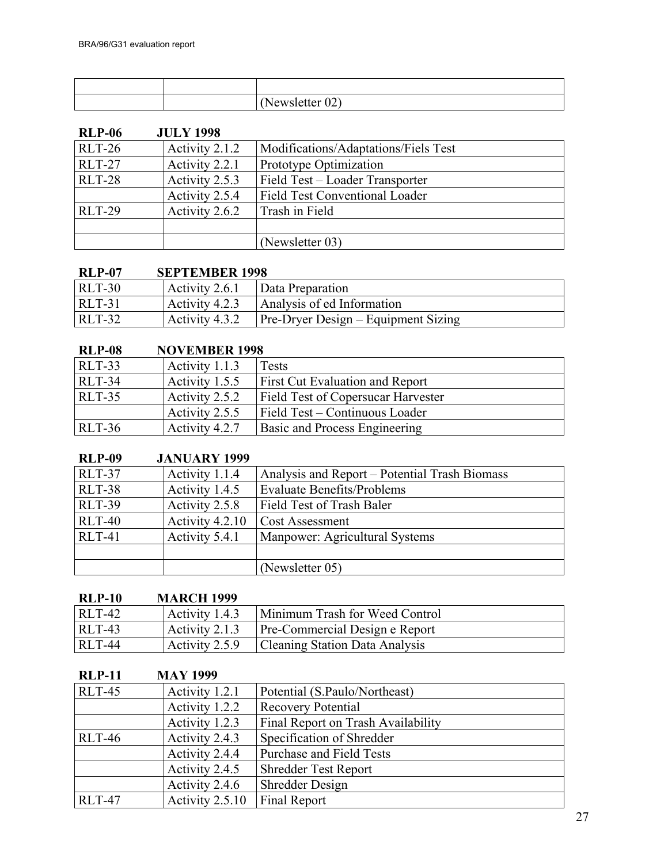|  | $101 \text{ V}$<br>$\ddot{\,}$ |
|--|--------------------------------|

| <b>RLP-06</b> | <b>JULY 1998</b> |                                       |
|---------------|------------------|---------------------------------------|
| <b>RLT-26</b> | Activity 2.1.2   | Modifications/Adaptations/Fiels Test  |
| <b>RLT-27</b> | Activity 2.2.1   | Prototype Optimization                |
| <b>RLT-28</b> | Activity 2.5.3   | Field Test - Loader Transporter       |
|               | Activity 2.5.4   | <b>Field Test Conventional Loader</b> |
| <b>RLT-29</b> | Activity 2.6.2   | Trash in Field                        |
|               |                  |                                       |
|               |                  | (Newsletter 03)                       |

## **RLP-07 SEPTEMBER 1998**

| <b>RLT-30</b> | $\vert$ Activity 2.6.1 $\vert$ Data Preparation          |
|---------------|----------------------------------------------------------|
| <b>RLT-31</b> | $ $ Activity 4.2.3 $ $ Analysis of ed Information        |
| <b>RLT-32</b> | $ $ Activity 4.3.2   Pre-Dryer Design – Equipment Sizing |

#### **RLP-08 NOVEMBER 1998**

| $RLT-33$      | Activity 1.1.3 | Tests                                     |
|---------------|----------------|-------------------------------------------|
| <b>RLT-34</b> | Activity 1.5.5 | <b>First Cut Evaluation and Report</b>    |
| <b>RLT-35</b> | Activity 2.5.2 | <b>Field Test of Copersucar Harvester</b> |
|               | Activity 2.5.5 | Field Test – Continuous Loader            |
| $RLT-36$      | Activity 4.2.7 | <b>Basic and Process Engineering</b>      |

#### **RLP-09 JANUARY 1999**

| RLT-37        | Activity 1.1.4  | Analysis and Report – Potential Trash Biomass |
|---------------|-----------------|-----------------------------------------------|
| <b>RLT-38</b> | Activity 1.4.5  | <b>Evaluate Benefits/Problems</b>             |
| <b>RLT-39</b> | Activity 2.5.8  | Field Test of Trash Baler                     |
| <b>RLT-40</b> | Activity 4.2.10 | <b>Cost Assessment</b>                        |
| $RLT-41$      | Activity 5.4.1  | Manpower: Agricultural Systems                |
|               |                 |                                               |
|               |                 | (Newsletter 05)                               |

## **RLP-10 MARCH 1999**

| <b>RLT-42</b> | Activity 1.4.3   Minimum Trash for Weed Control |
|---------------|-------------------------------------------------|
| $RLT-43$      | Activity 2.1.3   Pre-Commercial Design e Report |
| <b>RLT-44</b> | Activity 2.5.9   Cleaning Station Data Analysis |

| <b>RLP-11</b> | <b>MAY 1999</b> |                                    |
|---------------|-----------------|------------------------------------|
| <b>RLT-45</b> | Activity 1.2.1  | Potential (S.Paulo/Northeast)      |
|               | Activity 1.2.2  | <b>Recovery Potential</b>          |
|               | Activity 1.2.3  | Final Report on Trash Availability |
| <b>RLT-46</b> | Activity 2.4.3  | Specification of Shredder          |
|               | Activity 2.4.4  | Purchase and Field Tests           |
|               | Activity 2.4.5  | <b>Shredder Test Report</b>        |
|               | Activity 2.4.6  | Shredder Design                    |
| <b>RLT-47</b> | Activity 2.5.10 | <b>Final Report</b>                |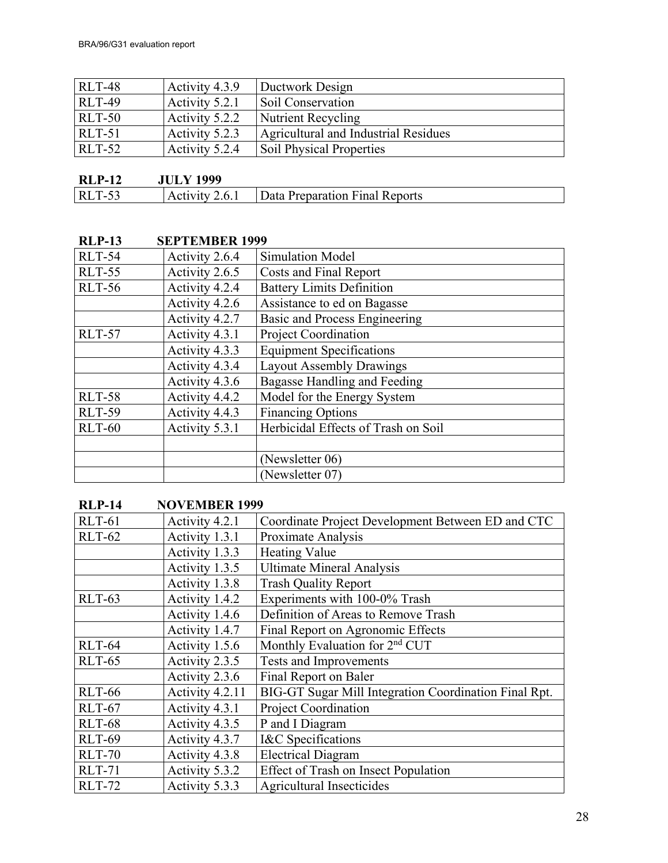| <b>RLT-48</b> | Activity 4.3.9 | Ductwork Design                      |
|---------------|----------------|--------------------------------------|
| <b>RLT-49</b> | Activity 5.2.1 | Soil Conservation                    |
| <b>RLT-50</b> | Activity 5.2.2 | Nutrient Recycling                   |
| <b>RLT-51</b> | Activity 5.2.3 | Agricultural and Industrial Residues |
| $RLT-52$      | Activity 5.2.4 | <b>Soil Physical Properties</b>      |

| <b>RLP-12</b> | <b>JULY 1999</b> |                                                 |
|---------------|------------------|-------------------------------------------------|
| <b>RLT-53</b> |                  | Activity 2.6.1   Data Preparation Final Reports |

| <b>RLP-13</b> | <b>SEPTEMBER 1999</b> |                                      |
|---------------|-----------------------|--------------------------------------|
| <b>RLT-54</b> | Activity 2.6.4        | Simulation Model                     |
| <b>RLT-55</b> | Activity 2.6.5        | Costs and Final Report               |
| <b>RLT-56</b> | Activity 4.2.4        | <b>Battery Limits Definition</b>     |
|               | Activity 4.2.6        | Assistance to ed on Bagasse          |
|               | Activity 4.2.7        | <b>Basic and Process Engineering</b> |
| <b>RLT-57</b> | Activity 4.3.1        | <b>Project Coordination</b>          |
|               | Activity 4.3.3        | <b>Equipment Specifications</b>      |
|               | Activity 4.3.4        | <b>Layout Assembly Drawings</b>      |
|               | Activity 4.3.6        | Bagasse Handling and Feeding         |
| <b>RLT-58</b> | Activity 4.4.2        | Model for the Energy System          |
| <b>RLT-59</b> | Activity 4.4.3        | <b>Financing Options</b>             |
| <b>RLT-60</b> | Activity 5.3.1        | Herbicidal Effects of Trash on Soil  |
|               |                       |                                      |
|               |                       | (Newsletter 06)                      |
|               |                       | (Newsletter 07)                      |

## **RLP-14 NOVEMBER 1999**

| $RLT-61$      | Activity 4.2.1  | Coordinate Project Development Between ED and CTC     |
|---------------|-----------------|-------------------------------------------------------|
| <b>RLT-62</b> | Activity 1.3.1  | Proximate Analysis                                    |
|               | Activity 1.3.3  | <b>Heating Value</b>                                  |
|               | Activity 1.3.5  | <b>Ultimate Mineral Analysis</b>                      |
|               | Activity 1.3.8  | <b>Trash Quality Report</b>                           |
| <b>RLT-63</b> | Activity 1.4.2  | Experiments with 100-0% Trash                         |
|               | Activity 1.4.6  | Definition of Areas to Remove Trash                   |
|               | Activity 1.4.7  | Final Report on Agronomic Effects                     |
| <b>RLT-64</b> | Activity 1.5.6  | Monthly Evaluation for 2 <sup>nd</sup> CUT            |
| <b>RLT-65</b> | Activity 2.3.5  | <b>Tests and Improvements</b>                         |
|               | Activity 2.3.6  | Final Report on Baler                                 |
| <b>RLT-66</b> | Activity 4.2.11 | BIG-GT Sugar Mill Integration Coordination Final Rpt. |
| <b>RLT-67</b> | Activity 4.3.1  | <b>Project Coordination</b>                           |
| <b>RLT-68</b> | Activity 4.3.5  | P and I Diagram                                       |
| <b>RLT-69</b> | Activity 4.3.7  | I&C Specifications                                    |
| <b>RLT-70</b> | Activity 4.3.8  | <b>Electrical Diagram</b>                             |
| <b>RLT-71</b> | Activity 5.3.2  | <b>Effect of Trash on Insect Population</b>           |
| <b>RLT-72</b> | Activity 5.3.3  | <b>Agricultural Insecticides</b>                      |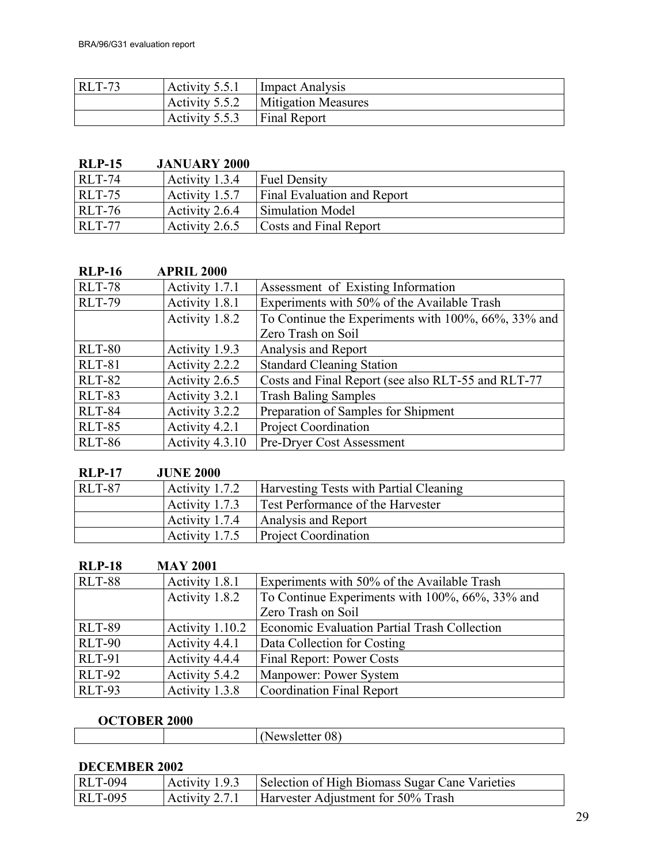| <b>RLT-73</b> |                             | Activity 5.5.1   Impact Analysis     |
|---------------|-----------------------------|--------------------------------------|
|               |                             | Activity 5.5.2   Mitigation Measures |
|               | Activity 5.5.3 Final Report |                                      |

## **RLP-15 JANUARY 2000**

| $RLT-74$      | Activity $1.3.4$ | <b>Fuel Density</b>                |
|---------------|------------------|------------------------------------|
| $RLT-75$      | Activity 1.5.7   | <b>Final Evaluation and Report</b> |
| $RLT-76$      | Activity 2.6.4   | Simulation Model                   |
| <b>RLT-77</b> | Activity $2.6.5$ | Costs and Final Report             |

| <b>RLP-16</b> | <b>APRIL 2000</b> |                                                     |
|---------------|-------------------|-----------------------------------------------------|
| <b>RLT-78</b> | Activity 1.7.1    | Assessment of Existing Information                  |
| <b>RLT-79</b> | Activity 1.8.1    | Experiments with 50% of the Available Trash         |
|               | Activity 1.8.2    | To Continue the Experiments with 100%, 66%, 33% and |
|               |                   | Zero Trash on Soil                                  |
| <b>RLT-80</b> | Activity 1.9.3    | Analysis and Report                                 |
| <b>RLT-81</b> | Activity 2.2.2    | <b>Standard Cleaning Station</b>                    |
| <b>RLT-82</b> | Activity 2.6.5    | Costs and Final Report (see also RLT-55 and RLT-77  |
| <b>RLT-83</b> | Activity 3.2.1    | <b>Trash Baling Samples</b>                         |
| <b>RLT-84</b> | Activity 3.2.2    | Preparation of Samples for Shipment                 |
| <b>RLT-85</b> | Activity 4.2.1    | <b>Project Coordination</b>                         |
| <b>RLT-86</b> | Activity 4.3.10   | <b>Pre-Dryer Cost Assessment</b>                    |

| <b>RLP-17</b> | <b>JUNE 2000</b> |                                               |
|---------------|------------------|-----------------------------------------------|
| <b>RLT-87</b> | Activity 1.7.2   | <b>Harvesting Tests with Partial Cleaning</b> |
|               | Activity 1.7.3   | Test Performance of the Harvester             |
|               | Activity 1.7.4   | Analysis and Report                           |
|               | Activity 1.7.5   | <b>Project Coordination</b>                   |

| <b>RLP-18</b> | <b>MAY 2001</b> |                                                 |
|---------------|-----------------|-------------------------------------------------|
| <b>RLT-88</b> | Activity 1.8.1  | Experiments with 50% of the Available Trash     |
|               | Activity 1.8.2  | To Continue Experiments with 100%, 66%, 33% and |
|               |                 | Zero Trash on Soil                              |
| <b>RLT-89</b> | Activity 1.10.2 | Economic Evaluation Partial Trash Collection    |
| <b>RLT-90</b> | Activity 4.4.1  | Data Collection for Costing                     |
| <b>RLT-91</b> | Activity 4.4.4  | <b>Final Report: Power Costs</b>                |
| <b>RLT-92</b> | Activity 5.4.2  | <b>Manpower: Power System</b>                   |
| <b>RLT-93</b> | Activity 1.3.8  | <b>Coordination Final Report</b>                |

## **OCTOBER 2000**

| <b>OUT ODER TOOL</b> |  |
|----------------------|--|
|                      |  |
|                      |  |

## **DECEMBER 2002**

| $\vert$ RLT-094 | Activity 1.9.3   Selection of High Biomass Sugar Cane Varieties |
|-----------------|-----------------------------------------------------------------|
| $RLT-095$       | Activity 2.7.1 Harvester Adjustment for 50% Trash               |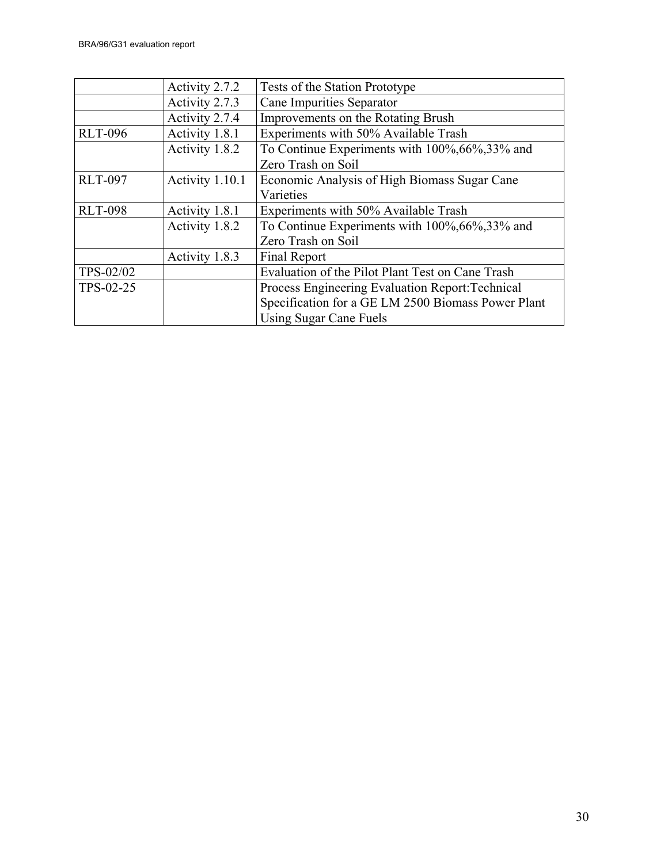|                | Activity 2.7.2  | Tests of the Station Prototype                     |
|----------------|-----------------|----------------------------------------------------|
|                | Activity 2.7.3  | Cane Impurities Separator                          |
|                | Activity 2.7.4  | Improvements on the Rotating Brush                 |
| <b>RLT-096</b> | Activity 1.8.1  | Experiments with 50% Available Trash               |
|                | Activity 1.8.2  | To Continue Experiments with 100%, 66%, 33% and    |
|                |                 | Zero Trash on Soil                                 |
| <b>RLT-097</b> | Activity 1.10.1 | Economic Analysis of High Biomass Sugar Cane       |
|                |                 | Varieties                                          |
| <b>RLT-098</b> | Activity 1.8.1  | Experiments with 50% Available Trash               |
|                | Activity 1.8.2  | To Continue Experiments with 100%, 66%, 33% and    |
|                |                 | Zero Trash on Soil                                 |
|                | Activity 1.8.3  | <b>Final Report</b>                                |
| TPS-02/02      |                 | Evaluation of the Pilot Plant Test on Cane Trash   |
| TPS-02-25      |                 | Process Engineering Evaluation Report: Technical   |
|                |                 | Specification for a GE LM 2500 Biomass Power Plant |
|                |                 | Using Sugar Cane Fuels                             |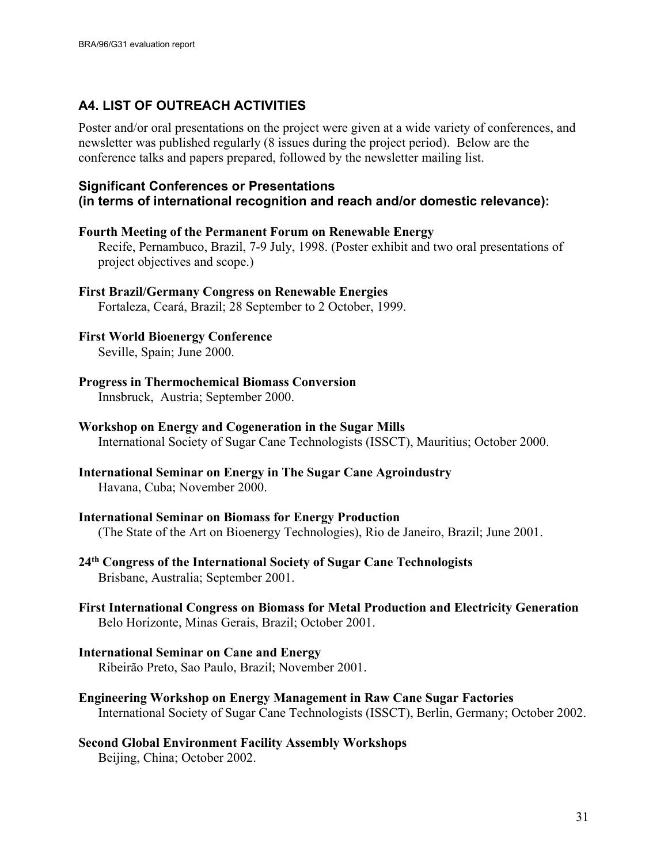## <span id="page-30-0"></span>**A4. LIST OF OUTREACH ACTIVITIES**

Poster and/or oral presentations on the project were given at a wide variety of conferences, and newsletter was published regularly (8 issues during the project period). Below are the conference talks and papers prepared, followed by the newsletter mailing list.

#### **Significant Conferences or Presentations (in terms of international recognition and reach and/or domestic relevance):**

#### **Fourth Meeting of the Permanent Forum on Renewable Energy**

Recife, Pernambuco, Brazil, 7-9 July, 1998. (Poster exhibit and two oral presentations of project objectives and scope.)

**First Brazil/Germany Congress on Renewable Energies** Fortaleza, Ceará, Brazil; 28 September to 2 October, 1999.

**First World Bioenergy Conference** Seville, Spain; June 2000.

**Progress in Thermochemical Biomass Conversion**  Innsbruck, Austria; September 2000.

# **Workshop on Energy and Cogeneration in the Sugar Mills**

International Society of Sugar Cane Technologists (ISSCT), Mauritius; October 2000.

- **International Seminar on Energy in The Sugar Cane Agroindustry** Havana, Cuba; November 2000.
- **International Seminar on Biomass for Energy Production**  (The State of the Art on Bioenergy Technologies), Rio de Janeiro, Brazil; June 2001.
- **24th Congress of the International Society of Sugar Cane Technologists**  Brisbane, Australia; September 2001.
- **First International Congress on Biomass for Metal Production and Electricity Generation** Belo Horizonte, Minas Gerais, Brazil; October 2001.
- **International Seminar on Cane and Energy** Ribeirão Preto, Sao Paulo, Brazil; November 2001.
- **Engineering Workshop on Energy Management in Raw Cane Sugar Factories**  International Society of Sugar Cane Technologists (ISSCT), Berlin, Germany; October 2002.
- **Second Global Environment Facility Assembly Workshops** Beijing, China; October 2002.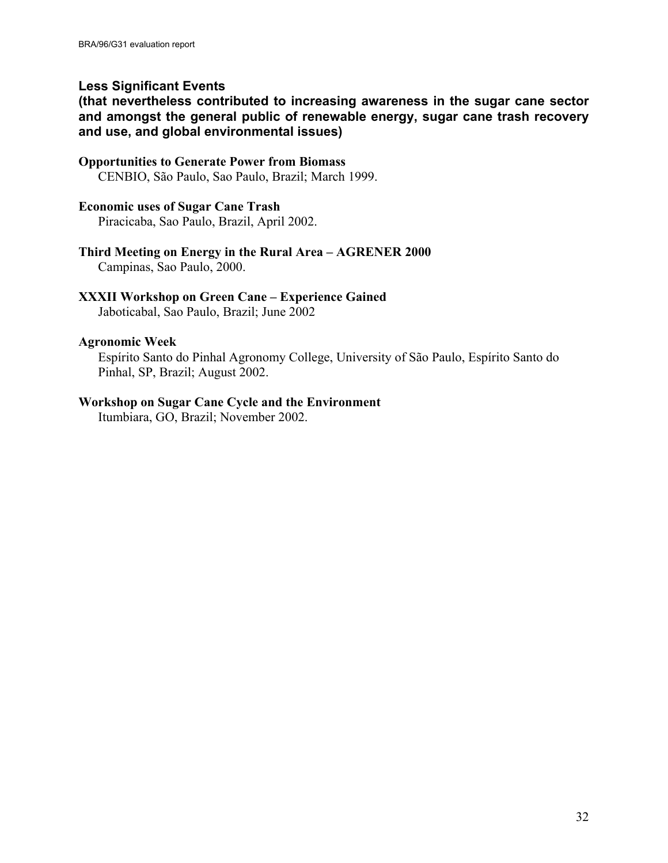#### **Less Significant Events**

**(that nevertheless contributed to increasing awareness in the sugar cane sector and amongst the general public of renewable energy, sugar cane trash recovery and use, and global environmental issues)**

#### **Opportunities to Generate Power from Biomass**

CENBIO, São Paulo, Sao Paulo, Brazil; March 1999.

#### **Economic uses of Sugar Cane Trash**

Piracicaba, Sao Paulo, Brazil, April 2002.

#### **Third Meeting on Energy in the Rural Area – AGRENER 2000**

Campinas, Sao Paulo, 2000.

#### **XXXII Workshop on Green Cane – Experience Gained**

Jaboticabal, Sao Paulo, Brazil; June 2002

#### **Agronomic Week**

Espírito Santo do Pinhal Agronomy College, University of São Paulo, Espírito Santo do Pinhal, SP, Brazil; August 2002.

#### **Workshop on Sugar Cane Cycle and the Environment**

Itumbiara, GO, Brazil; November 2002.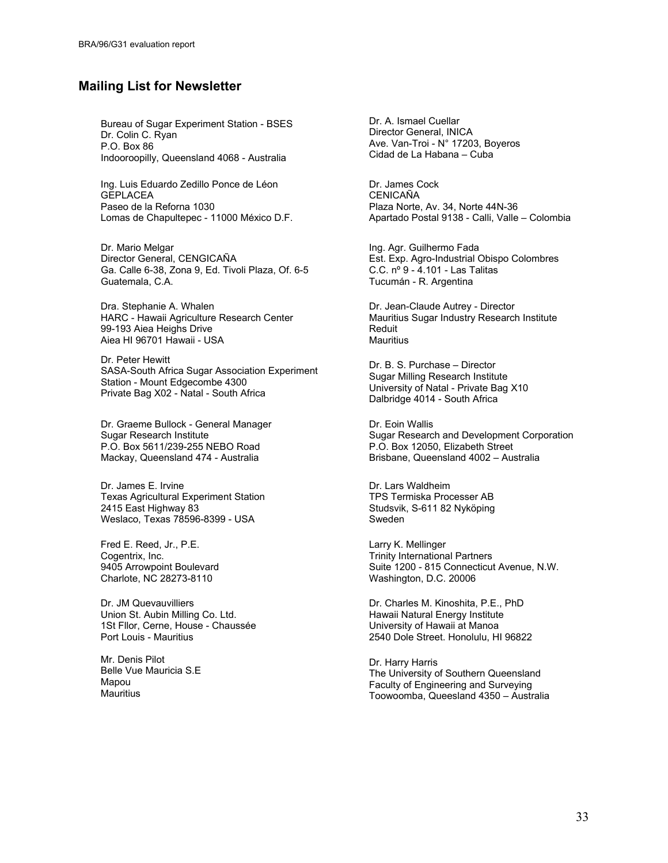#### **Mailing List for Newsletter**

Bureau of Sugar Experiment Station - BSES Dr. Colin C. Ryan P.O. Box 86 Indooroopilly, Queensland 4068 - Australia

Ing. Luis Eduardo Zedillo Ponce de Léon GEPLACEA Paseo de la Reforna 1030 Lomas de Chapultepec - 11000 México D.F.

Dr. Mario Melgar Director General, CENGICAÑA Ga. Calle 6-38, Zona 9, Ed. Tivoli Plaza, Of. 6-5 Guatemala, C.A.

Dra. Stephanie A. Whalen HARC - Hawaii Agriculture Research Center 99-193 Aiea Heighs Drive Aiea HI 96701 Hawaii - USA

Dr. Peter Hewitt SASA-South Africa Sugar Association Experiment Station - Mount Edgecombe 4300 Private Bag X02 - Natal - South Africa

Dr. Graeme Bullock - General Manager Sugar Research Institute P.O. Box 5611/239-255 NEBO Road Mackay, Queensland 474 - Australia

Dr. James E. Irvine Texas Agricultural Experiment Station 2415 East Highway 83 Weslaco, Texas 78596-8399 - USA

Fred E. Reed, Jr., P.E. Cogentrix, Inc. 9405 Arrowpoint Boulevard Charlote, NC 28273-8110

Dr. JM Quevauvilliers Union St. Aubin Milling Co. Ltd. 1St Fllor, Cerne, House - Chaussée Port Louis - Mauritius

Mr. Denis Pilot Belle Vue Mauricia S.E Mapou **Mauritius** 

Dr. A. Ismael Cuellar Director General, INICA Ave. Van-Troi - N° 17203, Boyeros Cidad de La Habana – Cuba

Dr. James Cock **CENICAÑA** Plaza Norte, Av. 34, Norte 44N-36 Apartado Postal 9138 - Calli, Valle – Colombia

Ing. Agr. Guilhermo Fada Est. Exp. Agro-Industrial Obispo Colombres C.C. nº 9 - 4.101 - Las Talitas Tucumán - R. Argentina

Dr. Jean-Claude Autrey - Director Mauritius Sugar Industry Research Institute Reduit **Mauritius** 

Dr. B. S. Purchase – Director Sugar Milling Research Institute University of Natal - Private Bag X10 Dalbridge 4014 - South Africa

Dr. Eoin Wallis Sugar Research and Development Corporation P.O. Box 12050, Elizabeth Street Brisbane, Queensland 4002 – Australia

Dr. Lars Waldheim TPS Termiska Processer AB Studsvik, S-611 82 Nyköping Sweden

Larry K. Mellinger Trinity International Partners Suite 1200 - 815 Connecticut Avenue, N.W. Washington, D.C. 20006

Dr. Charles M. Kinoshita, P.E., PhD Hawaii Natural Energy Institute University of Hawaii at Manoa 2540 Dole Street. Honolulu, HI 96822

Dr. Harry Harris The University of Southern Queensland Faculty of Engineering and Surveying Toowoomba, Queesland 4350 – Australia